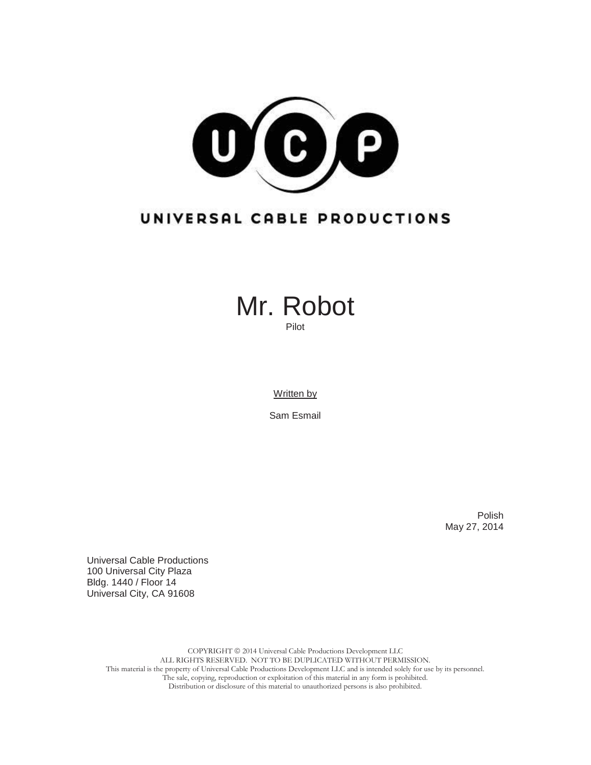

# UNIVERSAL CABLE PRODUCTIONS



Written by

Sam Esmail

Polish May 27, 2014

Universal Cable Productions 100 Universal City Plaza Bldg. 1440 / Floor 14 Universal City, CA 91608

> COPYRIGHT  $@$  2014 Universal Cable Productions Development LLC ALL RIGHTS RESERVED. NOT TO BE DUPLICATED WITHOUT PERMISSION. This material is the property of Universal Cable Productions Development LLC and is intended solely for use by its personnel. The sale, copying, reproduction or exploitation of this material in any form is prohibited. Distribution or disclosure of this material to unauthorized persons is also prohibited.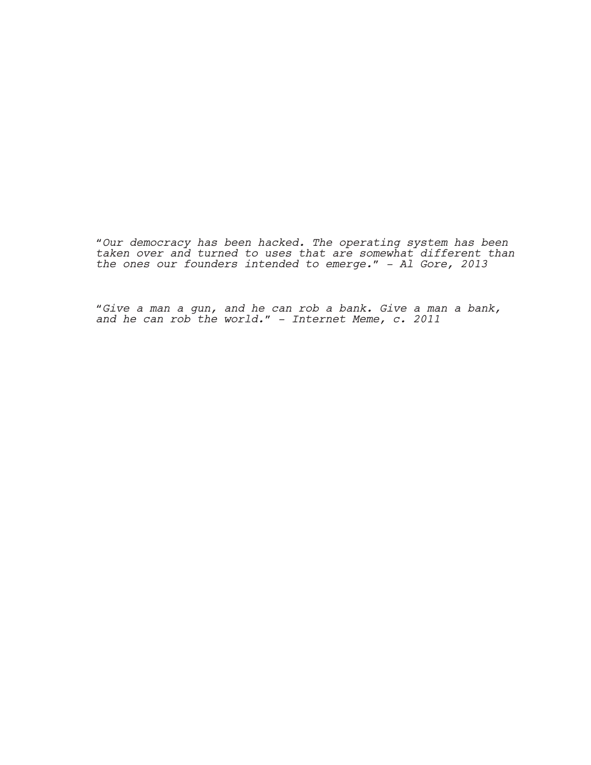*"Our democracy has been hacked. The operating system has been taken over and turned to uses that are somewhat different than the ones our founders intended to emerge." - Al Gore, 2013*

*"Give a man a gun, and he can rob a bank. Give a man a bank, and he can rob the world." - Internet Meme, c. 2011*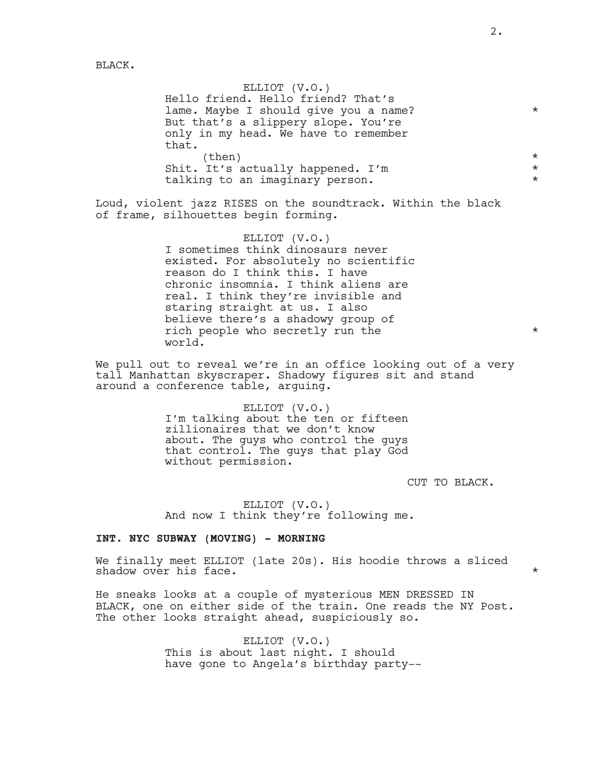BLACK.

ELLIOT (V.O.) Hello friend. Hello friend? That's lame. Maybe I should give you a name? \* \* \* \* But that's a slippery slope. You're only in my head. We have to remember that.  $\times$ Shit. It's actually happened. I'm  $*$ talking to an imaginary person.  $*$ 

Loud, violent jazz RISES on the soundtrack. Within the black of frame, silhouettes begin forming.

> ELLIOT (V.O.) I sometimes think dinosaurs never existed. For absolutely no scientific reason do I think this. I have chronic insomnia. I think aliens are real. I think they're invisible and staring straight at us. I also believe there's a shadowy group of rich people who secretly run the  $*$ world.

We pull out to reveal we're in an office looking out of a very tall Manhattan skyscraper. Shadowy figures sit and stand around a conference table, arguing.

> ELLIOT (V.O.) I'm talking about the ten or fifteen zillionaires that we don't know about. The guys who control the guys that control. The guys that play God without permission.

> > CUT TO BLACK.

ELLIOT (V.O.) And now I think they're following me.

### **INT. NYC SUBWAY (MOVING) - MORNING**

We finally meet ELLIOT (late 20s). His hoodie throws a sliced shadow over his face.  $\star$ 

He sneaks looks at a couple of mysterious MEN DRESSED IN BLACK, one on either side of the train. One reads the NY Post. The other looks straight ahead, suspiciously so.

> ELLIOT (V.O.) This is about last night. I should have gone to Angela's birthday party--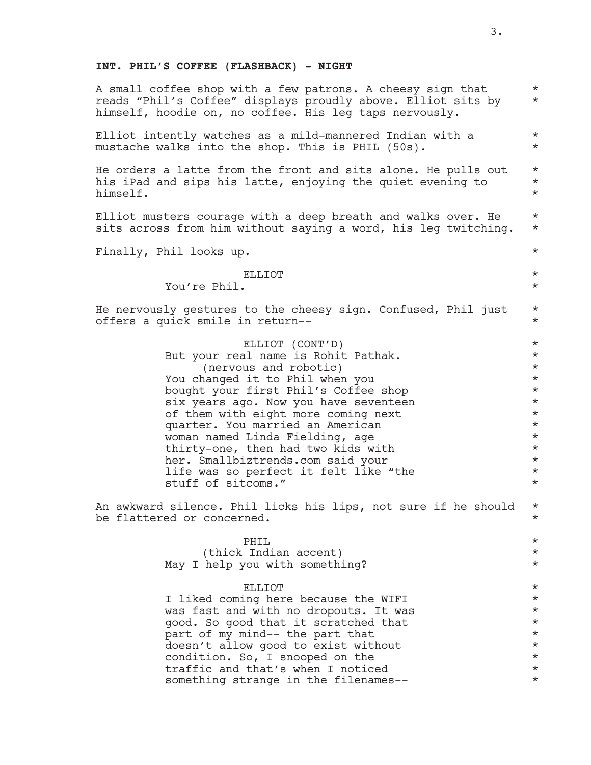### **INT. PHIL'S COFFEE (FLASHBACK) - NIGHT**

A small coffee shop with a few patrons. A cheesy sign that  $*$ <br>reads "Phil's Coffee" displays proudly above Flliot sits by reads "Phil's Coffee" displays proudly above. Elliot sits by \* himself, hoodie on, no coffee. His leg taps nervously. Elliot intently watches as a mild-mannered Indian with a  $*$ mustache walks into the shop. This is PHIL (50s). \* He orders a latte from the front and sits alone. He pulls out  $*$ his iPad and sips his latte, enjoying the quiet evening to  $*$ himself. \* Elliot musters courage with a deep breath and walks over. He  $*$ sits across from him without saying a word, his leg twitching. \* Finally, Phil looks up.  $\star$ ELLIOT  $\qquad \qquad \star$ You're Phil. \* He nervously gestures to the cheesy sign. Confused, Phil just  $*$ offers a quick smile in return-- \* ELLIOT (CONT'D) \*<br>al name is Robit Pathak. \* \* \* \* But your real name is Rohit Pathak. (nervous and robotic) \* You changed it to Phil when you \* bought your first Phil's Coffee shop \* six years ago. Now you have seventeen  $\star$ <br>of them with eight more coming next  $\star$ of them with eight more coming next<br>  $\begin{array}{ccc}\n\bullet & \bullet & \bullet & \bullet \\
\text{matrix} & \bullet & \bullet & \bullet \\
\bullet & \bullet & \bullet & \bullet & \bullet\n\end{array}$ quarter. You married an American \* woman named Linda Fielding, age \* thirty-one, then had two kids with \* her. Smallbiztrends.com said your  $*$ life was so perfect it felt like "the  $*$ stuff of sitcoms." An awkward silence. Phil licks his lips, not sure if he should  $*$ be flattered or concerned.  $\star$ PHIL  $\qquad \qquad \star$ (thick Indian accent) \* May I help you with something?  $*$ ELLIOT  $\qquad \qquad \star$ I liked coming here because the WIFI  $\star$ <br>was fast and with no dropouts. It was was fast and with no dropouts. It was \* good. So good that it scratched that  $\star$ <br>part of my mind-- the part that  $\star$ part of my mind-- the part that doesn't allow good to exist without \* condition. So, I snooped on the  $\star$ <br>traffic and that's when I noticed  $\star$ traffic and that's when I noticed \* something strange in the filenames--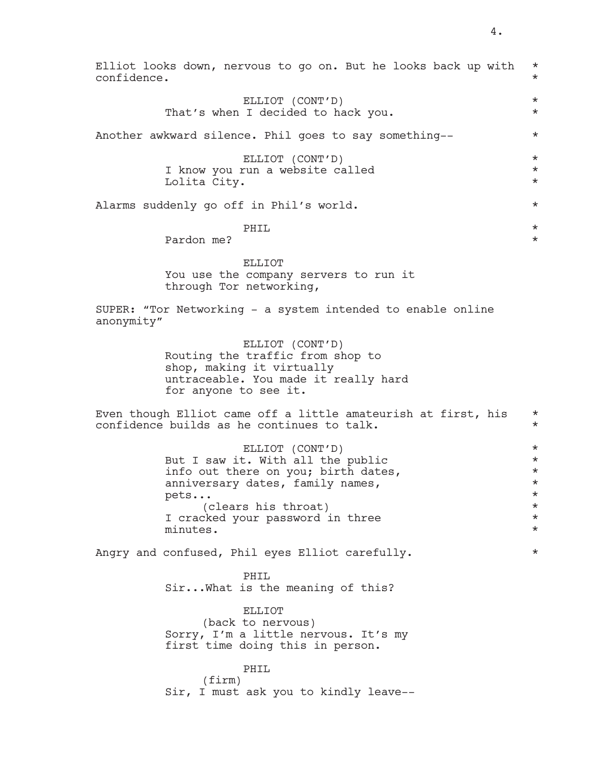| confidence. | Elliot looks down, nervous to go on. But he looks back up with                                                                                                                                                 | $\star$<br>$\star$                                                                          |
|-------------|----------------------------------------------------------------------------------------------------------------------------------------------------------------------------------------------------------------|---------------------------------------------------------------------------------------------|
|             | ELLIOT (CONT'D)<br>That's when I decided to hack you.                                                                                                                                                          | $^\star$<br>$\star$                                                                         |
|             | Another awkward silence. Phil goes to say something--                                                                                                                                                          | $\star$                                                                                     |
|             | ELLIOT (CONT'D)<br>I know you run a website called<br>Lolita City.                                                                                                                                             | $^\star$<br>$\star$<br>$^\star$                                                             |
|             | Alarms suddenly go off in Phil's world.                                                                                                                                                                        | $\star$                                                                                     |
|             | PHIL<br>Pardon me?                                                                                                                                                                                             | $^\star$<br>$\star$                                                                         |
|             | <b>ELLIOT</b><br>You use the company servers to run it<br>through Tor networking,                                                                                                                              |                                                                                             |
| anonymity"  | SUPER: "Tor Networking - a system intended to enable online                                                                                                                                                    |                                                                                             |
|             | ELLIOT (CONT'D)<br>Routing the traffic from shop to<br>shop, making it virtually<br>untraceable. You made it really hard<br>for anyone to see it.                                                              |                                                                                             |
|             | Even though Elliot came off a little amateurish at first, his<br>confidence builds as he continues to talk.                                                                                                    | $^\star$<br>$\star$                                                                         |
|             | ELLIOT (CONT'D)<br>But I saw it. With all the public<br>info out there on you; birth dates,<br>anniversary dates, family names,<br>pets<br>(clears his throat)<br>I cracked your password in three<br>minutes. | $^\star$<br>$^\star$<br>$^\star$<br>$^\star$<br>$^\star$<br>$^\star$<br>$\star$<br>$^\star$ |
|             | Angry and confused, Phil eyes Elliot carefully.                                                                                                                                                                | $^\star$                                                                                    |
|             | PHIL<br>Sir What is the meaning of this?<br>ELLIOT<br>(back to nervous)                                                                                                                                        |                                                                                             |
|             | Sorry, I'm a little nervous. It's my<br>first time doing this in person.<br>PHIL<br>$(f\text{irm})$<br>Sir, I must ask you to kindly leave--                                                                   |                                                                                             |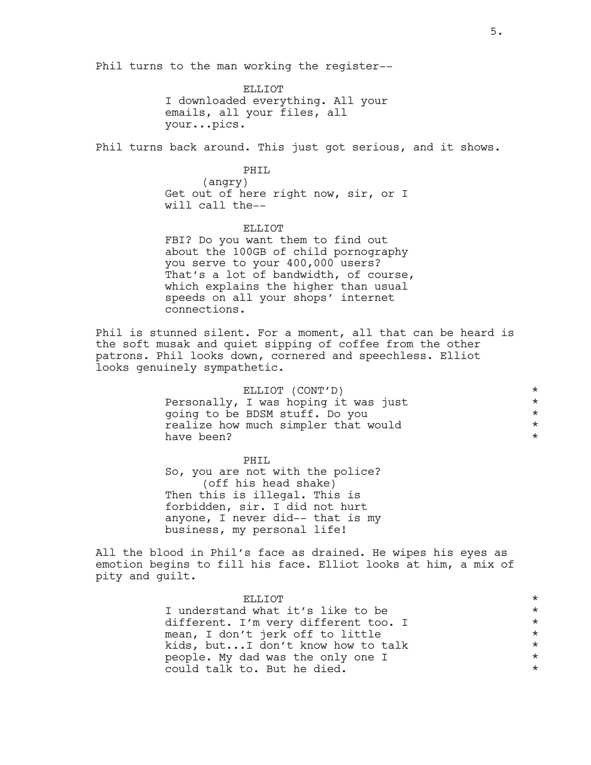Phil turns to the man working the register--

ELLIOT I downloaded everything. All your emails, all your files, all your...pics.

Phil turns back around. This just got serious, and it shows.

PHIL (angry) Get out of here right now, sir, or I will call the--

ELLIOT FBI? Do you want them to find out about the 100GB of child pornography you serve to your 400,000 users? That's a lot of bandwidth, of course, which explains the higher than usual speeds on all your shops' internet connections.

Phil is stunned silent. For a moment, all that can be heard is the soft musak and quiet sipping of coffee from the other patrons. Phil looks down, cornered and speechless. Elliot looks genuinely sympathetic.

| ELLIOT (CONT'D)                      | $\star$ |
|--------------------------------------|---------|
| Personally, I was hoping it was just | $\star$ |
| going to be BDSM stuff. Do you       | $\star$ |
| realize how much simpler that would  | $\star$ |
| have been?                           | $\star$ |

PHIL So, you are not with the police? (off his head shake) Then this is illegal. This is forbidden, sir. I did not hurt anyone, I never did-- that is my business, my personal life!

All the blood in Phil's face as drained. He wipes his eyes as emotion begins to fill his face. Elliot looks at him, a mix of pity and guilt.

| <b>F.I.I.TOT</b>                     | $\star$ |
|--------------------------------------|---------|
| I understand what it's like to be    | $\star$ |
| different. I'm very different too. I | $\star$ |
| mean, I don't jerk off to little     | $\star$ |
| kids, butI don't know how to talk    | $\star$ |
| people. My dad was the only one I    | $\star$ |
| could talk to. But he died.          | $\star$ |
|                                      |         |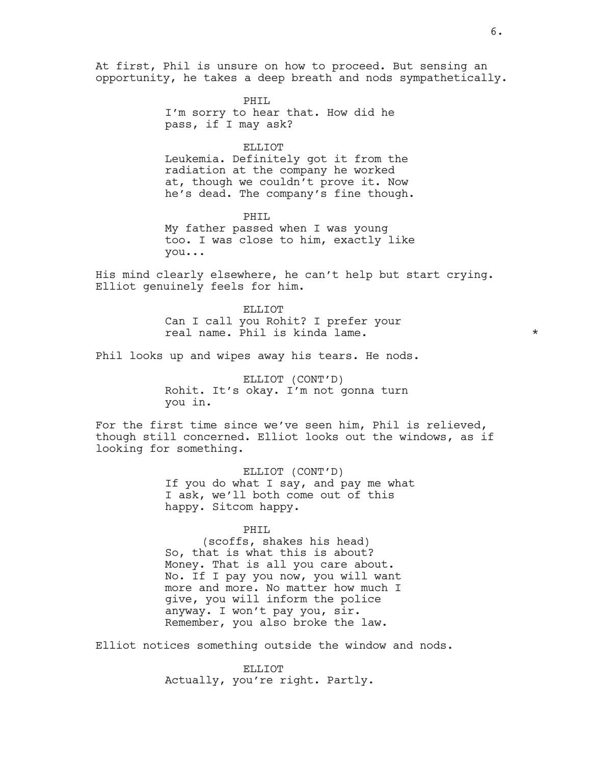At first, Phil is unsure on how to proceed. But sensing an opportunity, he takes a deep breath and nods sympathetically.

> PHIL I'm sorry to hear that. How did he pass, if I may ask?

> > ELLIOT

Leukemia. Definitely got it from the radiation at the company he worked at, though we couldn't prove it. Now he's dead. The company's fine though.

PHIL My father passed when I was young too. I was close to him, exactly like you...

His mind clearly elsewhere, he can't help but start crying. Elliot genuinely feels for him.

> ELLIOT Can I call you Rohit? I prefer your real name. Phil is kinda lame.  $\star$

Phil looks up and wipes away his tears. He nods.

ELLIOT (CONT'D) Rohit. It's okay. I'm not gonna turn you in.

For the first time since we've seen him, Phil is relieved, though still concerned. Elliot looks out the windows, as if looking for something.

> ELLIOT (CONT'D) If you do what I say, and pay me what I ask, we'll both come out of this happy. Sitcom happy.

> > PHIL

(scoffs, shakes his head) So, that is what this is about? Money. That is all you care about. No. If I pay you now, you will want more and more. No matter how much I give, you will inform the police anyway. I won't pay you, sir. Remember, you also broke the law.

Elliot notices something outside the window and nods.

ELLIOT Actually, you're right. Partly.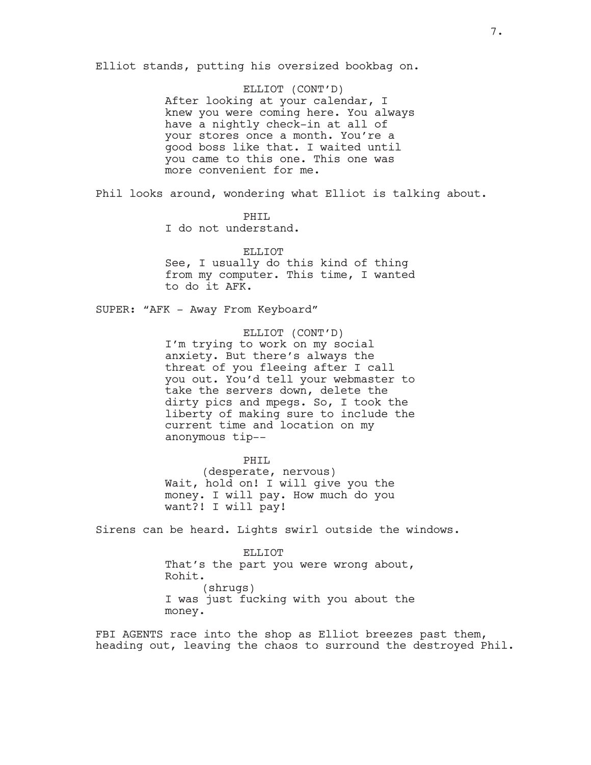Elliot stands, putting his oversized bookbag on.

ELLIOT (CONT'D) After looking at your calendar, I knew you were coming here. You always have a nightly check-in at all of your stores once a month. You're a good boss like that. I waited until you came to this one. This one was more convenient for me.

Phil looks around, wondering what Elliot is talking about.

PHTT.

I do not understand.

ELLIOT See, I usually do this kind of thing from my computer. This time, I wanted to do it AFK.

SUPER: "AFK - Away From Keyboard"

ELLIOT (CONT'D) I'm trying to work on my social anxiety. But there's always the threat of you fleeing after I call you out. You'd tell your webmaster to take the servers down, delete the dirty pics and mpegs. So, I took the liberty of making sure to include the current time and location on my anonymous tip--

PHIL (desperate, nervous) Wait, hold on! I will give you the money. I will pay. How much do you want?! I will pay!

Sirens can be heard. Lights swirl outside the windows.

ELLIOT That's the part you were wrong about, Rohit. (shrugs) I was just fucking with you about the money.

FBI AGENTS race into the shop as Elliot breezes past them, heading out, leaving the chaos to surround the destroyed Phil.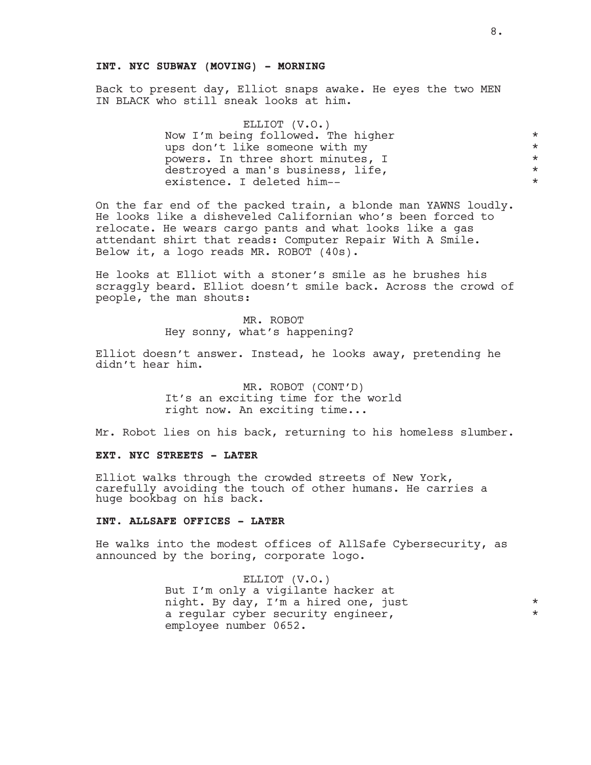### **INT. NYC SUBWAY (MOVING) - MORNING**

Back to present day, Elliot snaps awake. He eyes the two MEN IN BLACK who still sneak looks at him.

| Now I'm being followed. The higher<br>ups don't like someone with my<br>powers. In three short minutes, I<br>destroyed a man's business, life,<br>existence. I deleted him-- | ELLIOT (V.O.) |         |
|------------------------------------------------------------------------------------------------------------------------------------------------------------------------------|---------------|---------|
|                                                                                                                                                                              |               | $\star$ |
|                                                                                                                                                                              |               | $\star$ |
|                                                                                                                                                                              |               | $\star$ |
|                                                                                                                                                                              |               | $\star$ |
|                                                                                                                                                                              |               | $\star$ |

On the far end of the packed train, a blonde man YAWNS loudly. He looks like a disheveled Californian who's been forced to relocate. He wears cargo pants and what looks like a gas attendant shirt that reads: Computer Repair With A Smile. Below it, a logo reads MR. ROBOT (40s).

He looks at Elliot with a stoner's smile as he brushes his scraggly beard. Elliot doesn't smile back. Across the crowd of people, the man shouts:

> MR. ROBOT Hey sonny, what's happening?

Elliot doesn't answer. Instead, he looks away, pretending he didn't hear him.

> MR. ROBOT (CONT'D) It's an exciting time for the world right now. An exciting time...

Mr. Robot lies on his back, returning to his homeless slumber.

### **EXT. NYC STREETS - LATER**

Elliot walks through the crowded streets of New York, carefully avoiding the touch of other humans. He carries a huge bookbag on his back.

### **INT. ALLSAFE OFFICES - LATER**

He walks into the modest offices of AllSafe Cybersecurity, as announced by the boring, corporate logo.

> ELLIOT (V.O.) But I'm only a vigilante hacker at night. By day, I'm a hired one, just  $\uparrow$  \* a regular cyber security engineer, employee number 0652.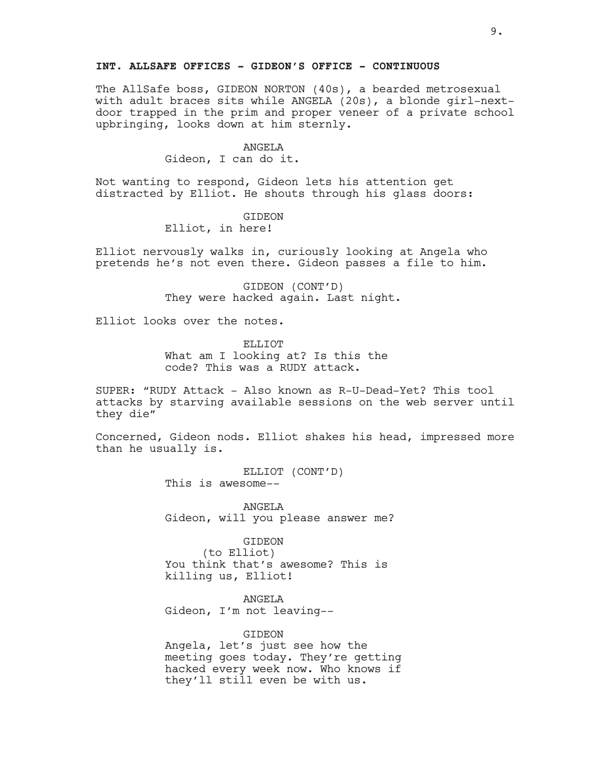### **INT. ALLSAFE OFFICES - GIDEON'S OFFICE - CONTINUOUS**

The AllSafe boss, GIDEON NORTON (40s), a bearded metrosexual with adult braces sits while ANGELA (20s), a blonde girl-nextdoor trapped in the prim and proper veneer of a private school upbringing, looks down at him sternly.

#### ANGELA

Gideon, I can do it.

Not wanting to respond, Gideon lets his attention get distracted by Elliot. He shouts through his glass doors:

# GIDEON

Elliot, in here!

Elliot nervously walks in, curiously looking at Angela who pretends he's not even there. Gideon passes a file to him.

> GIDEON (CONT'D) They were hacked again. Last night.

Elliot looks over the notes.

ELLIOT What am I looking at? Is this the code? This was a RUDY attack.

SUPER: "RUDY Attack - Also known as R-U-Dead-Yet? This tool attacks by starving available sessions on the web server until they die"

Concerned, Gideon nods. Elliot shakes his head, impressed more than he usually is.

> ELLIOT (CONT'D) This is awesome--

ANGELA Gideon, will you please answer me?

#### GIDEON

(to Elliot) You think that's awesome? This is killing us, Elliot!

ANGELA

Gideon, I'm not leaving--

### GIDEON

Angela, let's just see how the meeting goes today. They're getting hacked every week now. Who knows if they'll still even be with us.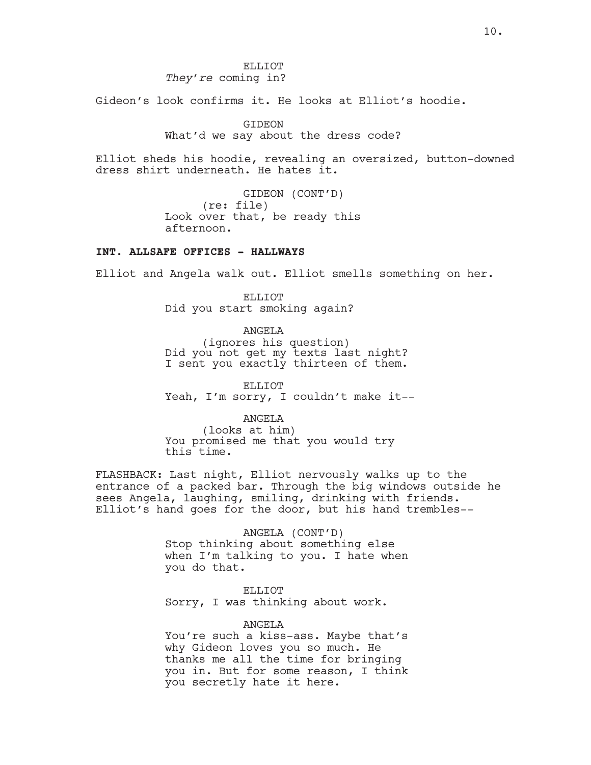ELLIOT *They're* coming in?

Gideon's look confirms it. He looks at Elliot's hoodie.

GIDEON

What'd we say about the dress code?

Elliot sheds his hoodie, revealing an oversized, button-downed dress shirt underneath. He hates it.

> GIDEON (CONT'D) (re: file) Look over that, be ready this afternoon.

# **INT. ALLSAFE OFFICES - HALLWAYS**

Elliot and Angela walk out. Elliot smells something on her.

ELLIOT Did you start smoking again?

ANGELA

(ignores his question) Did you not get my texts last night? I sent you exactly thirteen of them.

ELLIOT Yeah, I'm sorry, I couldn't make it--

ANGELA

(looks at him) You promised me that you would try this time.

FLASHBACK: Last night, Elliot nervously walks up to the entrance of a packed bar. Through the big windows outside he sees Angela, laughing, smiling, drinking with friends. Elliot's hand goes for the door, but his hand trembles--

> ANGELA (CONT'D) Stop thinking about something else when I'm talking to you. I hate when you do that.

ELLIOT Sorry, I was thinking about work.

ANGELA You're such a kiss-ass. Maybe that's why Gideon loves you so much. He thanks me all the time for bringing you in. But for some reason, I think you secretly hate it here.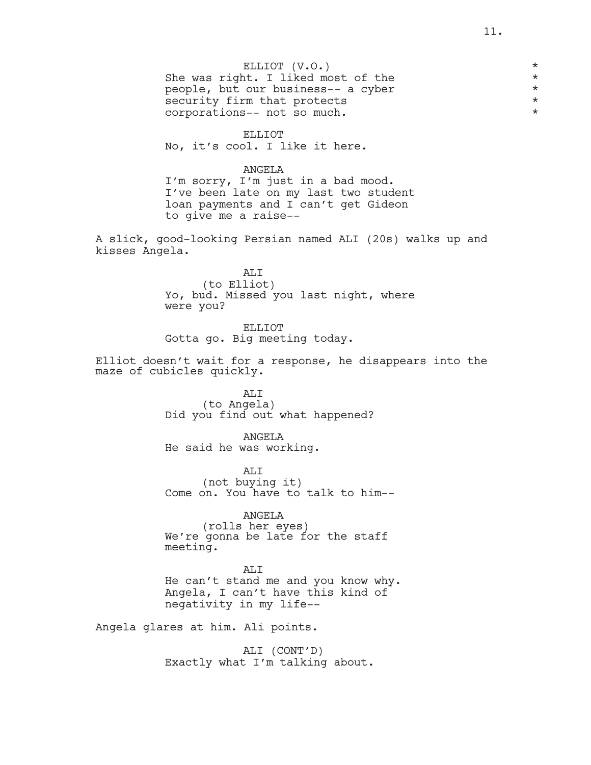### ELLIOT (V.O.) \*

She was right. I liked most of the  $*$ people, but our business-- a cyber \* security firm that protects corporations-- not so much. \*

#### ELLIOT

No, it's cool. I like it here.

### ANGELA

I'm sorry, I'm just in a bad mood. I've been late on my last two student loan payments and I can't get Gideon to give me a raise--

A slick, good-looking Persian named ALI (20s) walks up and kisses Angela.

> ALI (to Elliot) Yo, bud. Missed you last night, where were you?

ELLIOT Gotta go. Big meeting today.

Elliot doesn't wait for a response, he disappears into the maze of cubicles quickly.

> ALI (to Angela) Did you find out what happened?

ANGELA He said he was working.

ALI (not buying it) Come on. You have to talk to him--

ANGELA (rolls her eyes) We're gonna be late for the staff meeting.

AT<sub>I</sub>T He can't stand me and you know why. Angela, I can't have this kind of negativity in my life--

Angela glares at him. Ali points.

ALI (CONT'D) Exactly what I'm talking about.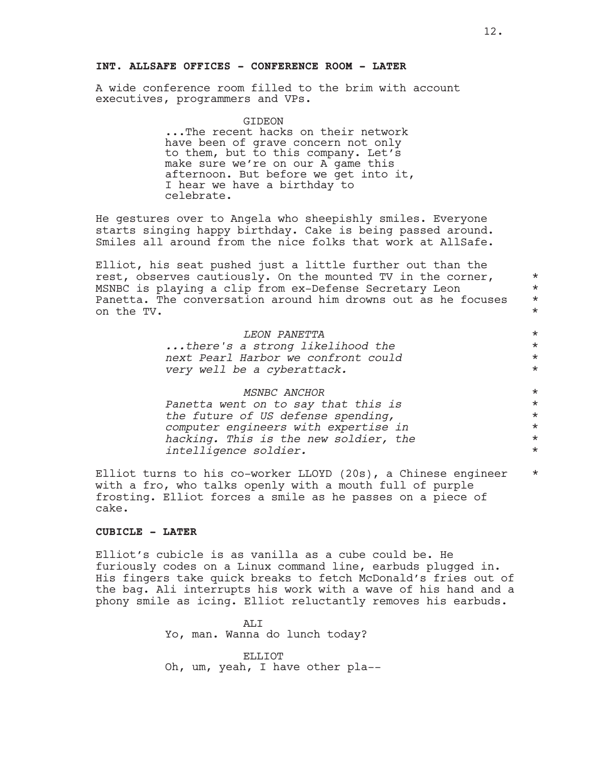### **INT. ALLSAFE OFFICES - CONFERENCE ROOM - LATER**

A wide conference room filled to the brim with account executives, programmers and VPs.

GIDEON

...The recent hacks on their network have been of grave concern not only to them, but to this company. Let's make sure we're on our A game this afternoon. But before we get into it, I hear we have a birthday to celebrate.

He gestures over to Angela who sheepishly smiles. Everyone starts singing happy birthday. Cake is being passed around. Smiles all around from the nice folks that work at AllSafe.

Elliot, his seat pushed just a little further out than the rest, observes cautiously. On the mounted TV in the corner,  $*$ MSNBC is playing a clip from ex-Defense Secretary Leon  $*$ Panetta. The conversation around him drowns out as he focuses  $*$ on the TV. \*

| <i>LEON PANETTA</i>                 | $\star$ |
|-------------------------------------|---------|
| there's a strong likelihood the     | $\star$ |
| next Pearl Harbor we confront could | $\star$ |
| very well be a cyberattack.         | $\star$ |

| <i>MSNBC ANCHOR</i>                   | $\star$ |
|---------------------------------------|---------|
| Panetta went on to say that this is   | $\star$ |
| the future of US defense spending,    | $\star$ |
| computer engineers with expertise in  | $\star$ |
| hacking. This is the new soldier, the | $\star$ |
| intelligence soldier.                 | $\star$ |

Elliot turns to his co-worker LLOYD (20s), a Chinese engineer \* with a fro, who talks openly with a mouth full of purple frosting. Elliot forces a smile as he passes on a piece of cake.

# **CUBICLE - LATER**

Elliot's cubicle is as vanilla as a cube could be. He furiously codes on a Linux command line, earbuds plugged in. His fingers take quick breaks to fetch McDonald's fries out of the bag. Ali interrupts his work with a wave of his hand and a phony smile as icing. Elliot reluctantly removes his earbuds.

> ALI Yo, man. Wanna do lunch today?

ELLIOT Oh, um, yeah, I have other pla--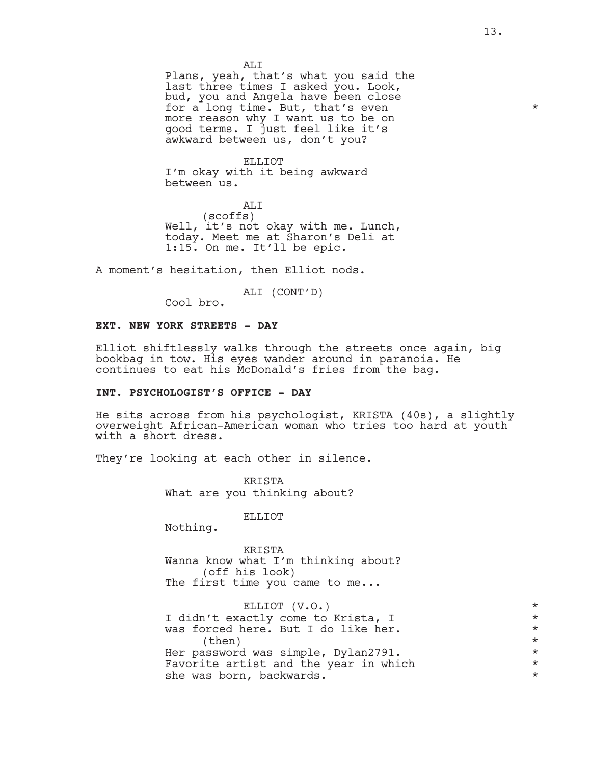Plans, yeah, that's what you said the last three times I asked you. Look, bud, you and Angela have been close for a long time. But, that's even  $*$ more reason why I want us to be on good terms. I just feel like it's awkward between us, don't you?

ELLIOT I'm okay with it being awkward between us.

ALI (scoffs) Well, it's not okay with me. Lunch, today. Meet me at Sharon's Deli at 1:15. On me. It'll be epic.

A moment's hesitation, then Elliot nods.

ALI (CONT'D)

Cool bro.

#### **EXT. NEW YORK STREETS - DAY**

Elliot shiftlessly walks through the streets once again, big bookbag in tow. His eyes wander around in paranoia. He continues to eat his McDonald's fries from the bag.

# **INT. PSYCHOLOGIST'S OFFICE - DAY**

He sits across from his psychologist, KRISTA (40s), a slightly overweight African-American woman who tries too hard at youth with a short dress.

They're looking at each other in silence.

KRISTA What are you thinking about?

ELLIOT

Nothing.

KRISTA Wanna know what I'm thinking about? (off his look) The first time you came to me...

ELLIOT (V.O.) \* I didn't exactly come to Krista, I \* was forced here. But I do like her.  $\times$ Her password was simple,  $Dylan2791$ .<br>Favorite artist and the year in which  $\star$ Favorite artist and the year in which  $*$ <br>she was born backwards she was born, backwards.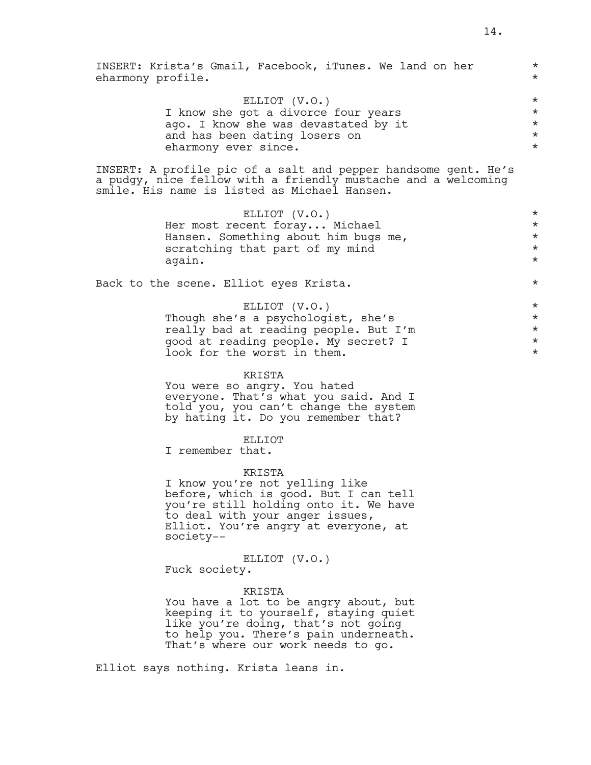| INSERT: Krista's Gmail, Facebook, iTunes. We land on her<br>eharmony profile.                                                                                                                                      | $\star$<br>$\star$                                      |
|--------------------------------------------------------------------------------------------------------------------------------------------------------------------------------------------------------------------|---------------------------------------------------------|
| ELLIOT (V.O.)<br>I know she got a divorce four years<br>ago. I know she was devastated by it<br>and has been dating losers on<br>eharmony ever since.                                                              | $\star$<br>$^\star$<br>$^\star$<br>$^\star$<br>$^\star$ |
| INSERT: A profile pic of a salt and pepper handsome gent. He's<br>a pudgy, nice fellow with a friendly mustache and a welcoming<br>smile. His name is listed as Michael Hansen.                                    |                                                         |
| ELLIOT (V.O.)<br>Her most recent foray Michael<br>Hansen. Something about him bugs me,<br>scratching that part of my mind<br>again.                                                                                | $\star$<br>$\star$<br>$^\star$<br>$^\star$<br>$\star$   |
| Back to the scene. Elliot eyes Krista.                                                                                                                                                                             | $^\star$                                                |
| ELLIOT (V.O.)<br>Though she's a psychologist, she's<br>really bad at reading people. But I'm<br>good at reading people. My secret? I<br>look for the worst in them.                                                | $\star$<br>$\star$<br>$\star$<br>$\star$<br>$^\star$    |
| KRISTA<br>You were so angry. You hated<br>everyone. That's what you said. And I<br>told you, you can't change the system<br>by hating it. Do you remember that?                                                    |                                                         |
| <b>ELLIOT</b><br>I remember that.                                                                                                                                                                                  |                                                         |
| KRISTA<br>I know you're not yelling like<br>before, which is good. But I can tell<br>you're still holding onto it. We have<br>to deal with your anger issues,<br>Elliot. You're angry at everyone, at<br>society-- |                                                         |
| ELLIOT (V.O.)<br>Fuck society.                                                                                                                                                                                     |                                                         |
| KRISTA<br>You have a lot to be angry about, but<br>keeping it to yourself, staying quiet<br>like you're doing, that's not going<br>to help you. There's pain underneath.<br>That's where our work needs to go.     |                                                         |

Elliot says nothing. Krista leans in.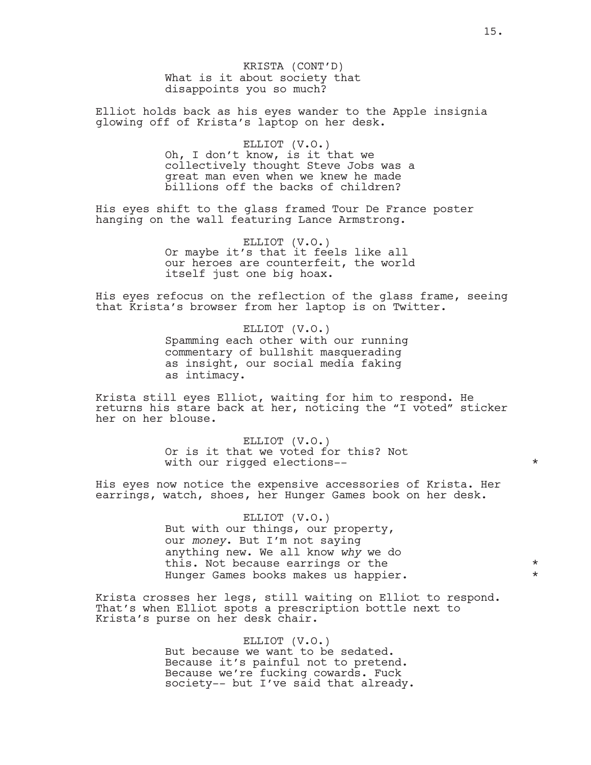KRISTA (CONT'D) What is it about society that disappoints you so much?

Elliot holds back as his eyes wander to the Apple insignia glowing off of Krista's laptop on her desk.

#### ELLIOT (V.O.)

Oh, I don't know, is it that we collectively thought Steve Jobs was a great man even when we knew he made billions off the backs of children?

His eyes shift to the glass framed Tour De France poster hanging on the wall featuring Lance Armstrong.

> ELLIOT (V.O.) Or maybe it's that it feels like all our heroes are counterfeit, the world itself just one big hoax.

His eyes refocus on the reflection of the glass frame, seeing that Krista's browser from her laptop is on Twitter.

> ELLIOT (V.O.) Spamming each other with our running commentary of bullshit masquerading as insight, our social media faking as intimacy.

Krista still eyes Elliot, waiting for him to respond. He returns his stare back at her, noticing the "I voted" sticker her on her blouse.

> ELLIOT (V.O.) Or is it that we voted for this? Not with our rigged elections--  $*$

His eyes now notice the expensive accessories of Krista. Her earrings, watch, shoes, her Hunger Games book on her desk.

> ELLIOT (V.O.) But with our things, our property, our *money*. But I'm not saying anything new. We all know *why* we do this. Not because earrings or the  $*$ Hunger Games books makes us happier.

Krista crosses her legs, still waiting on Elliot to respond. That's when Elliot spots a prescription bottle next to Krista's purse on her desk chair.

> ELLIOT (V.O.) But because we want to be sedated. Because it's painful not to pretend. Because we're fucking cowards. Fuck society-- but I've said that already.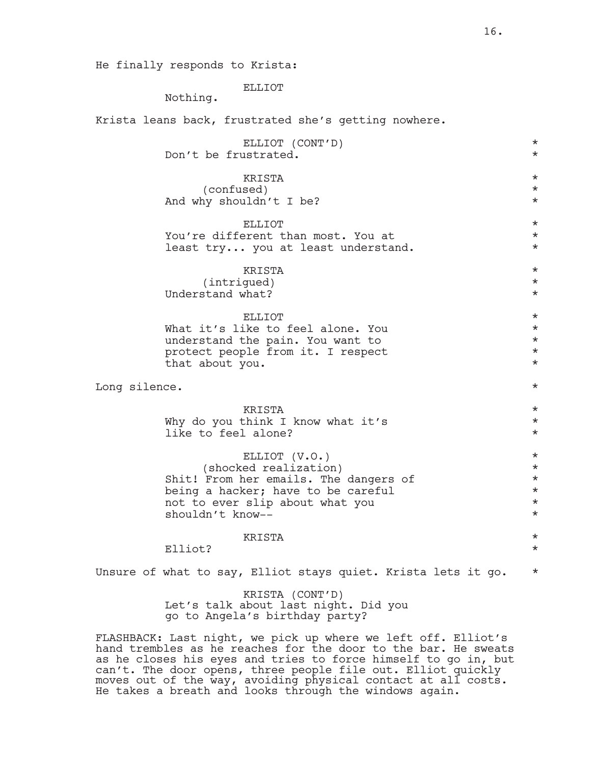He finally responds to Krista:

ELLIOT

Nothing.

Krista leans back, frustrated she's getting nowhere.

|               | ELLIOT (CONT'D)<br>Don't be frustrated.                                                                                                                                      | $^\star$<br>$\star$                                                 |
|---------------|------------------------------------------------------------------------------------------------------------------------------------------------------------------------------|---------------------------------------------------------------------|
|               | KRISTA<br>(confused)<br>And why shouldn't I be?                                                                                                                              | $\star$<br>$^\star$<br>$^\star$                                     |
|               | <b>ELLIOT</b><br>You're different than most. You at<br>least try you at least understand.                                                                                    | $^\star$<br>$^\star$<br>$^\star$                                    |
|               | KRISTA<br>(intrigued)<br>Understand what?                                                                                                                                    | $^\star$<br>$^\star$<br>$\star$                                     |
|               | <b>ELLIOT</b><br>What it's like to feel alone. You<br>understand the pain. You want to<br>protect people from it. I respect<br>that about you.                               | $^\star$<br>$\star$<br>$^\star$<br>$\star$<br>$\star$               |
| Long silence. |                                                                                                                                                                              | $^\star$                                                            |
|               | KRISTA<br>Why do you think I know what it's<br>like to feel alone?                                                                                                           | $\star$<br>$\star$<br>$^\star$                                      |
|               | ELLIOT (V.O.)<br>(shocked realization)<br>Shit! From her emails. The dangers of<br>being a hacker; have to be careful<br>not to ever slip about what you<br>shouldn't know-- | $^\star$<br>$\star$<br>$^\star$<br>$^\star$<br>$^\star$<br>$^\star$ |
|               | KRISTA<br>Elliot?                                                                                                                                                            | $^\star$<br>$^\star$                                                |
|               | Unsure of what to say, Elliot stays quiet. Krista lets it go.                                                                                                                | $^\star$                                                            |
|               | KRISTA (CONT'D)<br>Let's talk about last night. Did you<br>go to Angela's birthday party?                                                                                    |                                                                     |

FLASHBACK: Last night, we pick up where we left off. Elliot's hand trembles as he reaches for the door to the bar. He sweats as he closes his eyes and tries to force himself to go in, but can't. The door opens, three people file out. Elliot quickly moves out of the way, avoiding physical contact at all costs. He takes a breath and looks through the windows again.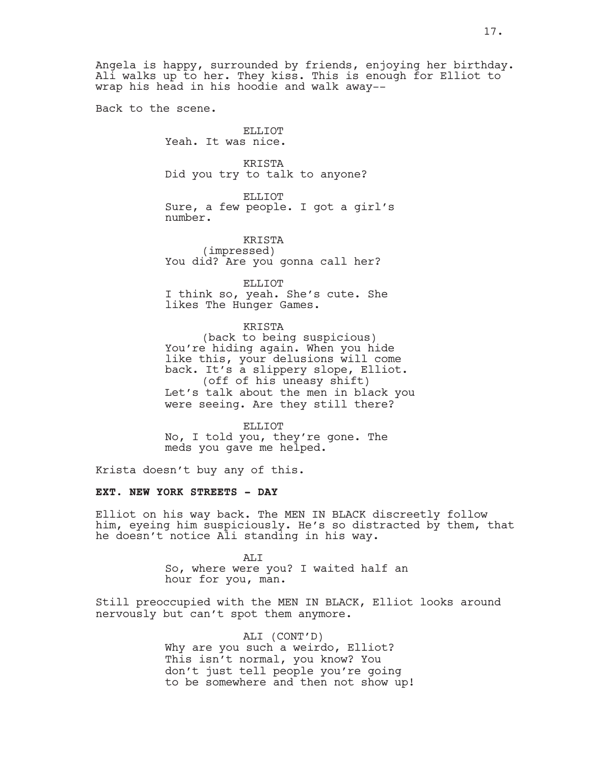Angela is happy, surrounded by friends, enjoying her birthday. Ali walks up to her. They kiss. This is enough for Elliot to wrap his head in his hoodie and walk away--

Back to the scene.

ELLIOT Yeah. It was nice.

KRISTA Did you try to talk to anyone?

ELLIOT Sure, a few people. I got a girl's number.

KRISTA (impressed) You did? Are you gonna call her?

ELLIOT

I think so, yeah. She's cute. She likes The Hunger Games.

KRISTA (back to being suspicious) You're hiding again. When you hide like this, your delusions will come back. It's a slippery slope, Elliot. (off of his uneasy shift) Let's talk about the men in black you were seeing. Are they still there?

ELLIOT No, I told you, they're gone. The meds you gave me helped.

Krista doesn't buy any of this.

#### **EXT. NEW YORK STREETS - DAY**

Elliot on his way back. The MEN IN BLACK discreetly follow him, eyeing him suspiciously. He's so distracted by them, that he doesn't notice Ali standing in his way.

> ALI So, where were you? I waited half an hour for you, man.

Still preoccupied with the MEN IN BLACK, Elliot looks around nervously but can't spot them anymore.

ALI (CONT'D)

Why are you such a weirdo, Elliot? This isn't normal, you know? You don't just tell people you're going to be somewhere and then not show up!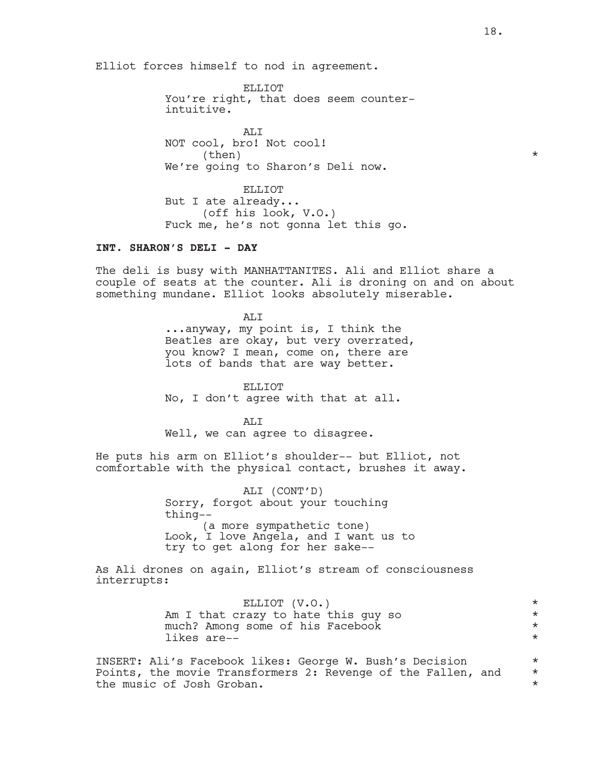Elliot forces himself to nod in agreement.

ELLIOT You're right, that does seem counterintuitive.

AT.T NOT cool, bro! Not cool!  $\times$  (then)  $*$ We're going to Sharon's Deli now.

ELLIOT But I ate already... (off his look, V.O.) Fuck me, he's not gonna let this go.

### **INT. SHARON'S DELI - DAY**

The deli is busy with MANHATTANITES. Ali and Elliot share a couple of seats at the counter. Ali is droning on and on about something mundane. Elliot looks absolutely miserable.

> ALI ...anyway, my point is, I think the Beatles are okay, but very overrated, you know? I mean, come on, there are lots of bands that are way better.

ELLIOT No, I don't agree with that at all.

ALI Well, we can agree to disagree.

He puts his arm on Elliot's shoulder-- but Elliot, not comfortable with the physical contact, brushes it away.

> ALI (CONT'D) Sorry, forgot about your touching thing-- (a more sympathetic tone) Look, I love Angela, and I want us to try to get along for her sake--

As Ali drones on again, Elliot's stream of consciousness interrupts:

> ELLIOT (V.O.) \* Am I that crazy to hate this guy so  $*$ much? Among some of his Facebook \* likes are--  $\star$

INSERT: Ali's Facebook likes: George W. Bush's Decision \* Points, the movie Transformers 2: Revenge of the Fallen, and  $*$ the music of Josh Groban. \*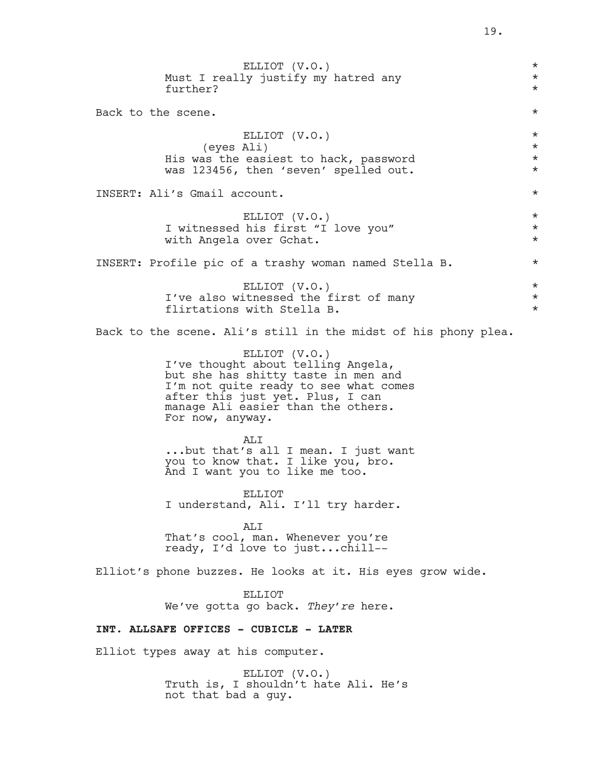| ELLIOT (V.O.)<br>Must I really justify my hatred any<br>further?                                                                                                                                                                  | $^\star$<br>$^\star$<br>$^\star$             |  |
|-----------------------------------------------------------------------------------------------------------------------------------------------------------------------------------------------------------------------------------|----------------------------------------------|--|
| Back to the scene.                                                                                                                                                                                                                | $^\star$                                     |  |
| ELLIOT (V.O.)<br>(eyes Ali)<br>His was the easiest to hack, password<br>was 123456, then 'seven' spelled out.                                                                                                                     | $^\star$<br>$^\star$<br>$^\star$<br>$^\star$ |  |
| INSERT: Ali's Gmail account.                                                                                                                                                                                                      | $^\star$                                     |  |
| ELLIOT (V.O.)<br>I witnessed his first "I love you"<br>with Angela over Gchat.                                                                                                                                                    | $^\star$<br>$^\star$<br>$^\star$             |  |
| INSERT: Profile pic of a trashy woman named Stella B.                                                                                                                                                                             | $^\star$                                     |  |
| ELLIOT (V.O.)<br>I've also witnessed the first of many<br>flirtations with Stella B.                                                                                                                                              | $^\star$<br>$^\star$<br>$^\star$             |  |
| Back to the scene. Ali's still in the midst of his phony plea.                                                                                                                                                                    |                                              |  |
| ELLIOT (V.O.)<br>I've thought about telling Angela,<br>but she has shitty taste in men and<br>I'm not quite ready to see what comes<br>after this just yet. Plus, I can<br>manage Ali easier than the others.<br>For now, anyway. |                                              |  |
| ALI<br>but that's all I mean. I just want<br>you to know that. I like you, bro.<br>And I want you to like me too.                                                                                                                 |                                              |  |
| <b>ELLIOT</b><br>I understand, Ali. I'll try harder.                                                                                                                                                                              |                                              |  |
| AT <sub>I</sub> T<br>That's cool, man. Whenever you're<br>ready, I'd love to justchill--                                                                                                                                          |                                              |  |
| Elliot's phone buzzes. He looks at it. His eyes grow wide.                                                                                                                                                                        |                                              |  |
| <b>ELLIOT</b><br>We've gotta go back. They're here.                                                                                                                                                                               |                                              |  |
| INT. ALLSAFE OFFICES - CUBICLE - LATER                                                                                                                                                                                            |                                              |  |
| Elliot types away at his computer.                                                                                                                                                                                                |                                              |  |
| ELLIOT (V.O.)                                                                                                                                                                                                                     |                                              |  |

Truth is, I shouldn't hate Ali. He's

not that bad a guy.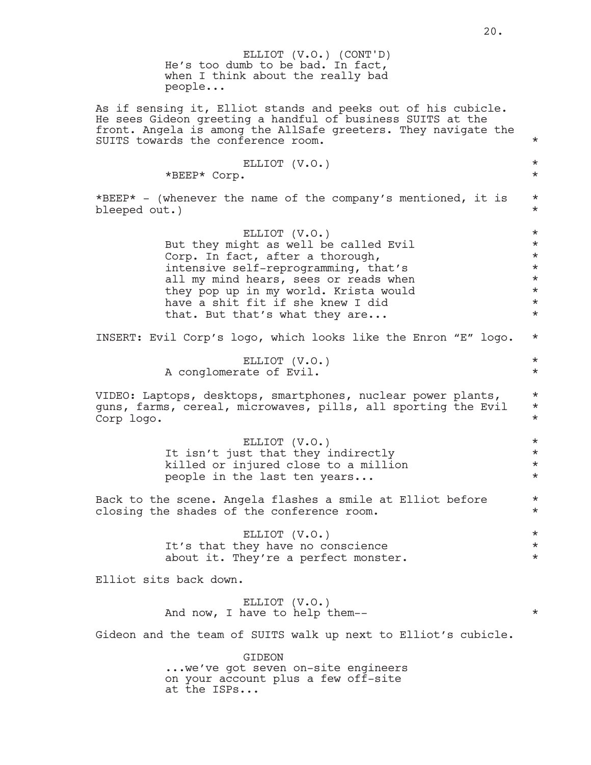|               | ELLIOT (V.O.) (CONT'D)<br>He's too dumb to be bad. In fact,<br>when I think about the really bad<br>people                                                                                                                                                                                  |                                                                                       |
|---------------|---------------------------------------------------------------------------------------------------------------------------------------------------------------------------------------------------------------------------------------------------------------------------------------------|---------------------------------------------------------------------------------------|
|               | As if sensing it, Elliot stands and peeks out of his cubicle.<br>He sees Gideon greeting a handful of business SUITS at the<br>front. Angela is among the AllSafe greeters. They navigate the<br>SUITS towards the conference room.                                                         | $\star$                                                                               |
|               | ELLIOT (V.O.)<br>*BEEP* Corp.                                                                                                                                                                                                                                                               | $\star$<br>$\star$                                                                    |
| bleeped out.) | *BEEP* - (whenever the name of the company's mentioned, it is                                                                                                                                                                                                                               | $\star$<br>$^\star$                                                                   |
|               | ELLIOT (V.O.)<br>But they might as well be called Evil<br>Corp. In fact, after a thorough,<br>intensive self-reprogramming, that's<br>all my mind hears, sees or reads when<br>they pop up in my world. Krista would<br>have a shit fit if she knew I did<br>that. But that's what they are | $\star$<br>$\star$<br>$\star$<br>$\star$<br>$\star$<br>$\star$<br>$\star$<br>$^\star$ |
|               | INSERT: Evil Corp's logo, which looks like the Enron "E" logo.                                                                                                                                                                                                                              | $\star$                                                                               |
|               | ELLIOT (V.O.)<br>A conglomerate of Evil.                                                                                                                                                                                                                                                    | $\star$<br>$\star$                                                                    |
| Corp logo.    | VIDEO: Laptops, desktops, smartphones, nuclear power plants,<br>guns, farms, cereal, microwaves, pills, all sporting the Evil                                                                                                                                                               | $\star$<br>$\star$<br>$\star$                                                         |
|               | ELLIOT (V.O.)<br>It isn't just that they indirectly<br>killed or injured close to a million<br>people in the last ten years                                                                                                                                                                 | $\star$<br>$\star$<br>$\star$<br>$^\star$                                             |
|               | Back to the scene. Angela flashes a smile at Elliot before<br>closing the shades of the conference room.                                                                                                                                                                                    | $\star$<br>$\star$                                                                    |
|               | ELLIOT (V.O.)<br>It's that they have no conscience<br>about it. They're a perfect monster.                                                                                                                                                                                                  | $\star$<br>$\star$<br>$\star$                                                         |
|               | Elliot sits back down.                                                                                                                                                                                                                                                                      |                                                                                       |
|               | ELLIOT (V.O.)<br>And now, I have to help them--                                                                                                                                                                                                                                             | $\star$                                                                               |
|               | Gideon and the team of SUITS walk up next to Elliot's cubicle.                                                                                                                                                                                                                              |                                                                                       |
|               | <b>GIDEON</b><br>we've got seven on-site engineers<br>on your account plus a few off-site<br>at the ISPs                                                                                                                                                                                    |                                                                                       |
|               |                                                                                                                                                                                                                                                                                             |                                                                                       |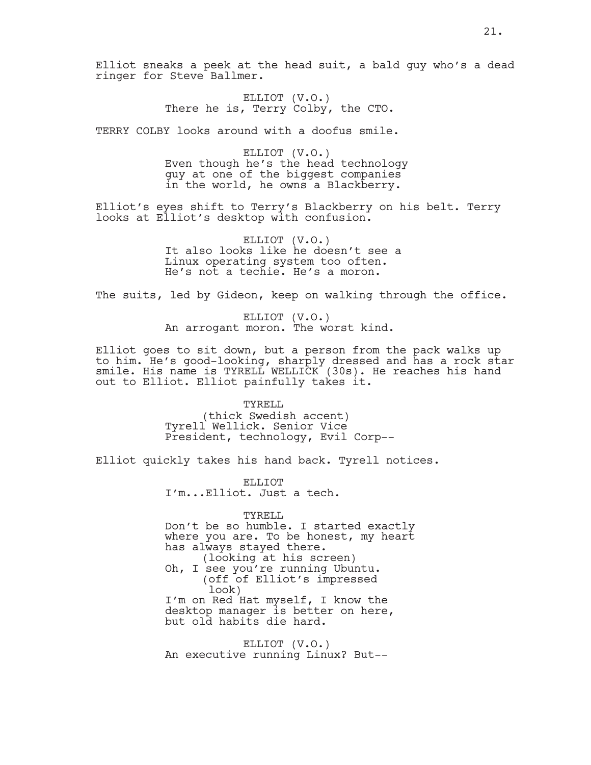Elliot sneaks a peek at the head suit, a bald guy who's a dead ringer for Steve Ballmer.

> ELLIOT (V.O.) There he is, Terry Colby, the CTO.

TERRY COLBY looks around with a doofus smile.

ELLIOT (V.O.) Even though he's the head technology guy at one of the biggest companies in the world, he owns a Blackberry.

Elliot's eyes shift to Terry's Blackberry on his belt. Terry looks at Elliot's desktop with confusion.

> ELLIOT (V.O.) It also looks like he doesn't see a Linux operating system too often. He's not a techie. He's a moron.

The suits, led by Gideon, keep on walking through the office.

ELLIOT (V.O.) An arrogant moron. The worst kind.

Elliot goes to sit down, but a person from the pack walks up to him. He's good-looking, sharply dressed and has a rock star smile. His name is TYRELL WELLICK (30s). He reaches his hand out to Elliot. Elliot painfully takes it.

> TYRELL (thick Swedish accent) Tyrell Wellick. Senior Vice President, technology, Evil Corp--

Elliot quickly takes his hand back. Tyrell notices.

ELLIOT I'm...Elliot. Just a tech.

TYRELL

Don't be so humble. I started exactly where you are. To be honest, my heart has always stayed there. (looking at his screen) Oh, I see you're running Ubuntu.

(off of Elliot's impressed look) I'm on Red Hat myself, I know the desktop manager is better on here, but old habits die hard.

ELLIOT (V.O.) An executive running Linux? But--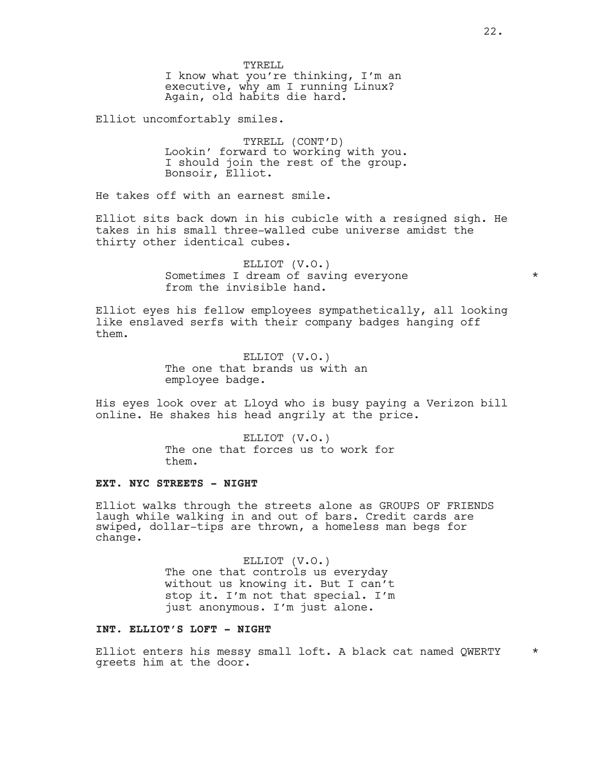Elliot uncomfortably smiles.

TYRELL (CONT'D) Lookin' forward to working with you. I should join the rest of the group. Bonsoir, Elliot.

He takes off with an earnest smile.

Elliot sits back down in his cubicle with a resigned sigh. He takes in his small three-walled cube universe amidst the thirty other identical cubes.

> ELLIOT (V.O.) Sometimes I dream of saving everyone  $*$ from the invisible hand.

Elliot eyes his fellow employees sympathetically, all looking like enslaved serfs with their company badges hanging off them.

> ELLIOT (V.O.) The one that brands us with an employee badge.

His eyes look over at Lloyd who is busy paying a Verizon bill online. He shakes his head angrily at the price.

> ELLIOT (V.O.) The one that forces us to work for them.

# **EXT. NYC STREETS - NIGHT**

Elliot walks through the streets alone as GROUPS OF FRIENDS laugh while walking in and out of bars. Credit cards are swiped, dollar-tips are thrown, a homeless man begs for change.

> ELLIOT (V.O.) The one that controls us everyday without us knowing it. But I can't stop it. I'm not that special. I'm just anonymous. I'm just alone.

# **INT. ELLIOT'S LOFT - NIGHT**

Elliot enters his messy small loft. A black cat named QWERTY \* greets him at the door.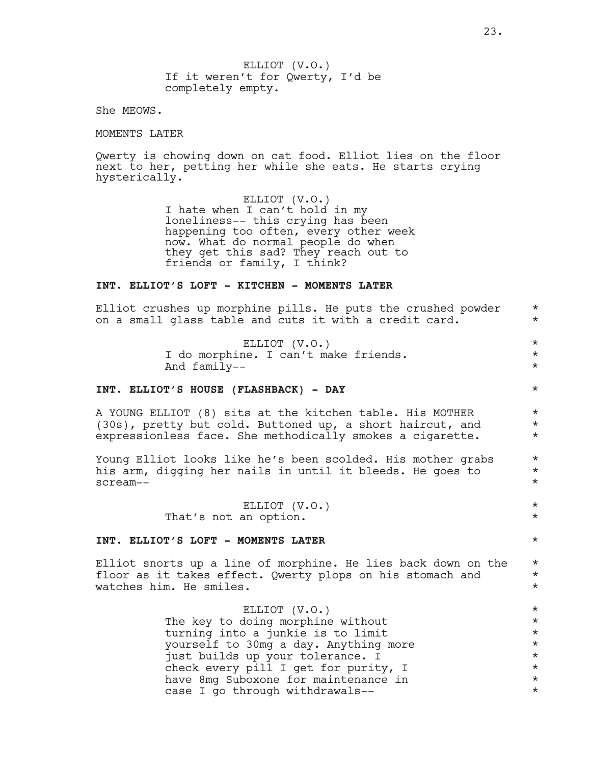ELLIOT (V.O.) If it weren't for Qwerty, I'd be completely empty.

She MEOWS.

MOMENTS LATER

Qwerty is chowing down on cat food. Elliot lies on the floor next to her, petting her while she eats. He starts crying hysterically.

> ELLIOT (V.O.) I hate when I can't hold in my loneliness-- this crying has been happening too often, every other week now. What do normal people do when they get this sad? They reach out to friends or family, I think?

### **INT. ELLIOT'S LOFT - KITCHEN - MOMENTS LATER**

Elliot crushes up morphine pills. He puts the crushed powder  $*$ on a small glass table and cuts it with a credit card.  $*$ 

> ELLIOT (V.O.) \* I do morphine. I can't make friends.  $*$ And family--  $\star$

### **INT. ELLIOT'S HOUSE (FLASHBACK) - DAY** \*

A YOUNG ELLIOT (8) sits at the kitchen table. His MOTHER  $*$ <br>(30s), pretty but cold, Buttoned up, a short haircut, and  $*$ (30s), pretty but cold. Buttoned up, a short haircut, and \* expressionless face. She methodically smokes a cigarette.  $*$ 

Young Elliot looks like he's been scolded. His mother grabs  $*$ his arm, digging her nails in until it bleeds. He goes to  $*$ scream-- \*

> ELLIOT (V.O.) \* That's not an option.  $\star$

### **INT. ELLIOT'S LOFT - MOMENTS LATER** \*

Elliot snorts up a line of morphine. He lies back down on the  $*$  floor as it takes effect. Owerty plops on his stomach and  $*$ floor as it takes effect. Qwerty plops on his stomach and \* watches him. He smiles.  $\star$ 

> ELLIOT (V.O.) \*<br>doing morphine without \* \* \* \* \* The key to doing morphine without turning into a junkie is to limit  $*$ yourself to 30mg a day. Anything more \* just builds up your tolerance. I  $*$ check every pill I get for purity, I  $*$ <br>have 8mg Suboxone for maintenance in  $*$ have 8mg Suboxone for maintenance in \* case I go through withdrawals--  $*$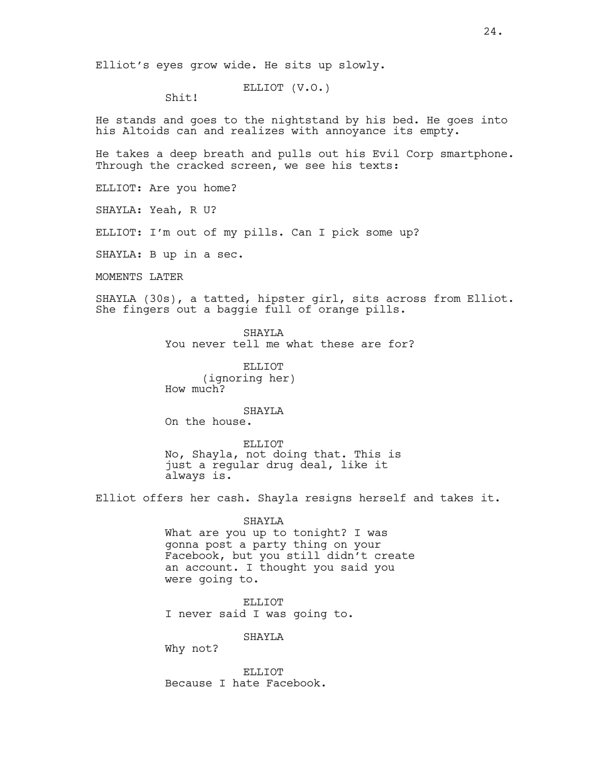ELLIOT (V.O.)

Shit!

He stands and goes to the nightstand by his bed. He goes into his Altoids can and realizes with annoyance its empty.

He takes a deep breath and pulls out his Evil Corp smartphone. Through the cracked screen, we see his texts:

ELLIOT: Are you home?

SHAYLA: Yeah, R U?

ELLIOT: I'm out of my pills. Can I pick some up?

SHAYLA: B up in a sec.

MOMENTS LATER

SHAYLA (30s), a tatted, hipster girl, sits across from Elliot. She fingers out a baggie full of orange pills.

> SHAYLA You never tell me what these are for?

ELLIOT (ignoring her) How much?

SHAYLA

On the house.

ELLIOT No, Shayla, not doing that. This is just a regular drug deal, like it always is.

Elliot offers her cash. Shayla resigns herself and takes it.

SHAYLA

What are you up to tonight? I was gonna post a party thing on your Facebook, but you still didn't create an account. I thought you said you were going to.

ELLIOT I never said I was going to.

SHAYLA

Why not?

ELLIOT Because I hate Facebook.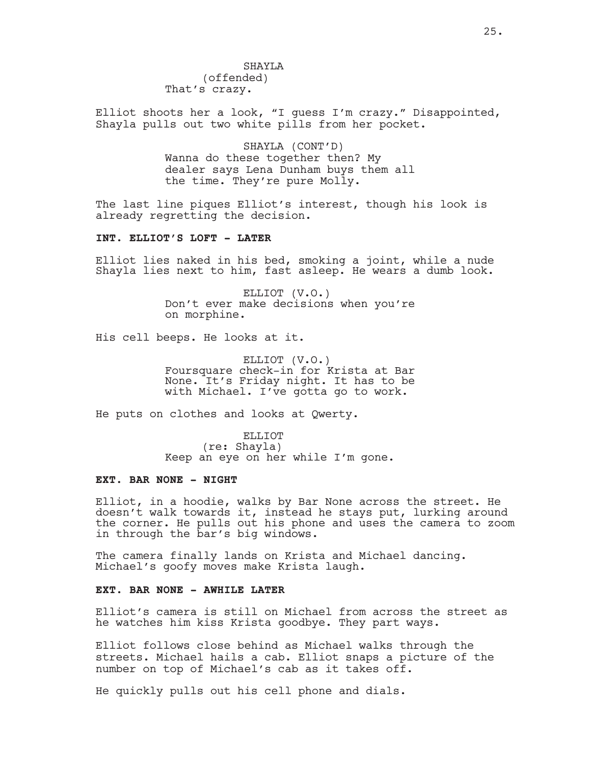SHAYLA (offended) That's crazy.

Elliot shoots her a look, "I guess I'm crazy." Disappointed, Shayla pulls out two white pills from her pocket.

> SHAYLA (CONT'D) Wanna do these together then? My dealer says Lena Dunham buys them all the time. They're pure Molly.

The last line piques Elliot's interest, though his look is already regretting the decision.

### **INT. ELLIOT'S LOFT - LATER**

Elliot lies naked in his bed, smoking a joint, while a nude Shayla lies next to him, fast asleep. He wears a dumb look.

> ELLIOT (V.O.) Don't ever make decisions when you're on morphine.

His cell beeps. He looks at it.

ELLIOT (V.O.) Foursquare check-in for Krista at Bar None. It's Friday night. It has to be with Michael. I've gotta go to work.

He puts on clothes and looks at Qwerty.

ELLIOT (re: Shayla) Keep an eye on her while I'm gone.

### **EXT. BAR NONE - NIGHT**

Elliot, in a hoodie, walks by Bar None across the street. He doesn't walk towards it, instead he stays put, lurking around the corner. He pulls out his phone and uses the camera to zoom in through the bar's big windows.

The camera finally lands on Krista and Michael dancing. Michael's goofy moves make Krista laugh.

# **EXT. BAR NONE - AWHILE LATER**

Elliot's camera is still on Michael from across the street as he watches him kiss Krista goodbye. They part ways.

Elliot follows close behind as Michael walks through the streets. Michael hails a cab. Elliot snaps a picture of the number on top of Michael's cab as it takes off.

He quickly pulls out his cell phone and dials.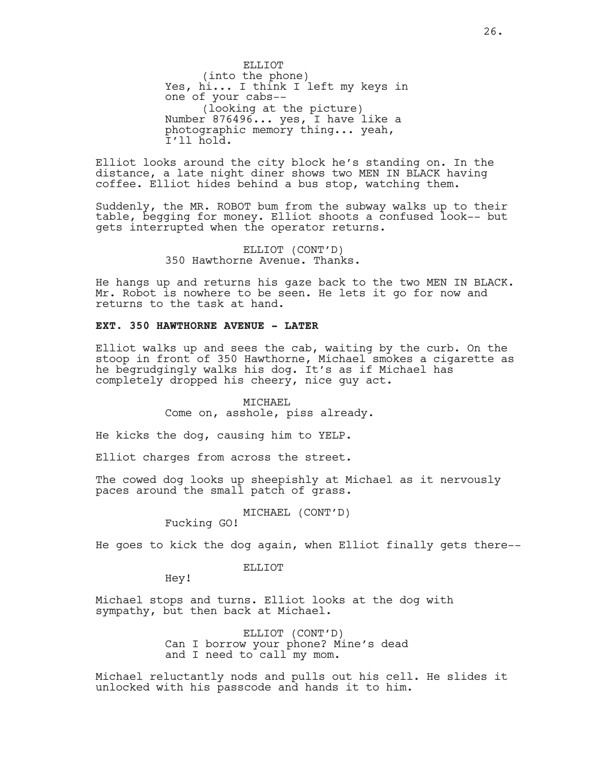ELLIOT (into the phone) Yes, hi... I think I left my keys in one of your cabs-- (looking at the picture) Number 876496... yes, I have like a photographic memory thing... yeah, I'll hold.

Elliot looks around the city block he's standing on. In the distance, a late night diner shows two MEN IN BLACK having coffee. Elliot hides behind a bus stop, watching them.

Suddenly, the MR. ROBOT bum from the subway walks up to their table, begging for money. Elliot shoots a confused look-- but gets interrupted when the operator returns.

> ELLIOT (CONT'D) 350 Hawthorne Avenue. Thanks.

He hangs up and returns his gaze back to the two MEN IN BLACK. Mr. Robot is nowhere to be seen. He lets it go for now and returns to the task at hand.

### **EXT. 350 HAWTHORNE AVENUE - LATER**

Elliot walks up and sees the cab, waiting by the curb. On the stoop in front of 350 Hawthorne, Michael smokes a cigarette as he begrudgingly walks his dog. It's as if Michael has completely dropped his cheery, nice guy act.

> MICHAEL Come on, asshole, piss already.

He kicks the dog, causing him to YELP.

Elliot charges from across the street.

The cowed dog looks up sheepishly at Michael as it nervously paces around the small patch of grass.

MICHAEL (CONT'D)

Fucking GO!

He goes to kick the dog again, when Elliot finally gets there--

#### ELLIOT

Hey!

Michael stops and turns. Elliot looks at the dog with sympathy, but then back at Michael.

> ELLIOT (CONT'D) Can I borrow your phone? Mine's dead and I need to call my mom.

Michael reluctantly nods and pulls out his cell. He slides it unlocked with his passcode and hands it to him.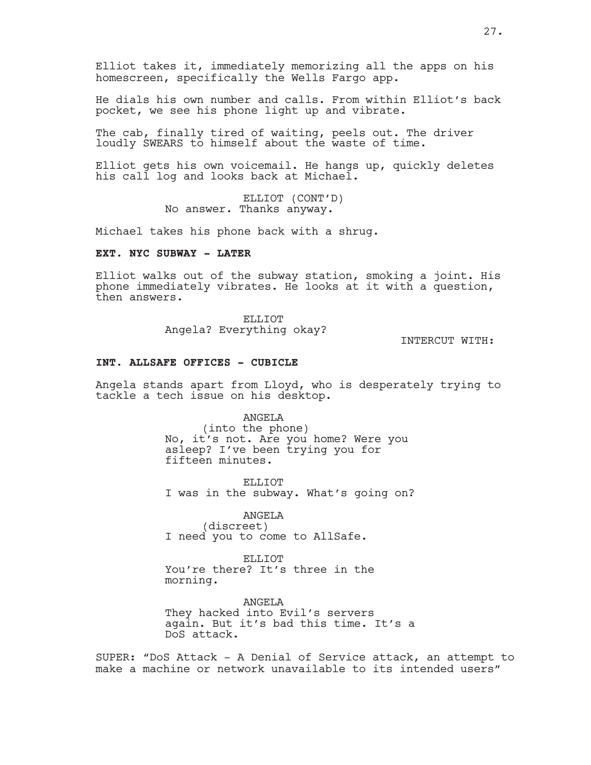Elliot takes it, immediately memorizing all the apps on his homescreen, specifically the Wells Fargo app.

He dials his own number and calls. From within Elliot's back pocket, we see his phone light up and vibrate.

The cab, finally tired of waiting, peels out. The driver loudly SWEARS to himself about the waste of time.

Elliot gets his own voicemail. He hangs up, quickly deletes his call log and looks back at Michael.

> ELLIOT (CONT'D) No answer. Thanks anyway.

Michael takes his phone back with a shrug.

# **EXT. NYC SUBWAY - LATER**

Elliot walks out of the subway station, smoking a joint. His phone immediately vibrates. He looks at it with a question, then answers.

> ELLIOT Angela? Everything okay?

INTERCUT WITH:

#### **INT. ALLSAFE OFFICES - CUBICLE**

Angela stands apart from Lloyd, who is desperately trying to tackle a tech issue on his desktop.

> ANGELA (into the phone) No, it's not. Are you home? Were you asleep? I've been trying you for fifteen minutes.

ELLIOT I was in the subway. What's going on?

ANGELA (discreet) I need you to come to AllSafe.

ELLIOT You're there? It's three in the morning.

ANGELA They hacked into Evil's servers again. But it's bad this time. It's a DoS attack.

SUPER: "DoS Attack - A Denial of Service attack, an attempt to make a machine or network unavailable to its intended users"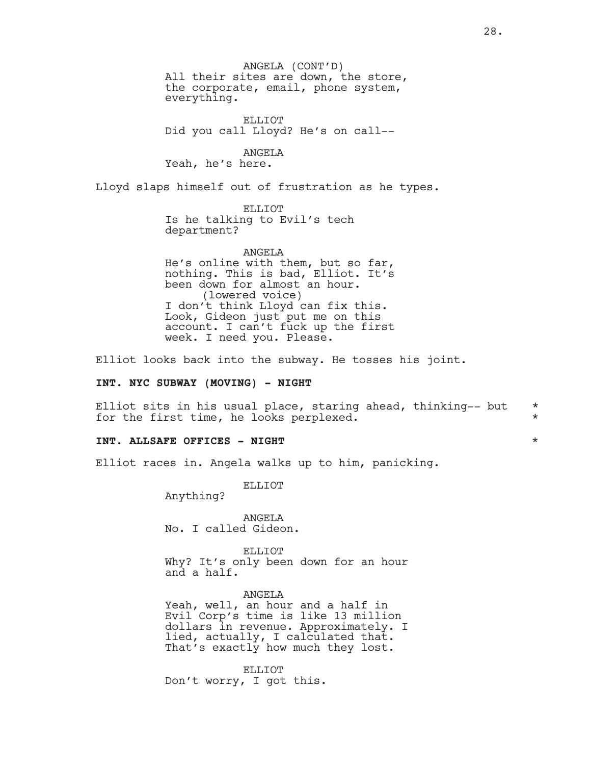ANGELA (CONT'D) All their sites are down, the store, the corporate, email, phone system, everything.

ELLIOT Did you call Lloyd? He's on call--

ANGELA

Yeah, he's here.

Lloyd slaps himself out of frustration as he types.

ELLIOT Is he talking to Evil's tech department?

ANGELA He's online with them, but so far, nothing. This is bad, Elliot. It's been down for almost an hour. (lowered voice) I don't think Lloyd can fix this. Look, Gideon just put me on this account. I can't fuck up the first week. I need you. Please.

Elliot looks back into the subway. He tosses his joint.

### **INT. NYC SUBWAY (MOVING) - NIGHT**

Elliot sits in his usual place, staring ahead, thinking-- but  $*$ for the first time, he looks perplexed.  $*$ 

### **INT. ALLSAFE OFFICES - NIGHT** \*

Elliot races in. Angela walks up to him, panicking.

ELLIOT

Anything?

ANGELA No. I called Gideon.

ELLIOT

Why? It's only been down for an hour and a half.

ANGELA Yeah, well, an hour and a half in Evil Corp's time is like 13 million dollars in revenue. Approximately. I lied, actually, I calculated that. That's exactly how much they lost.

ELLIOT Don't worry, I got this.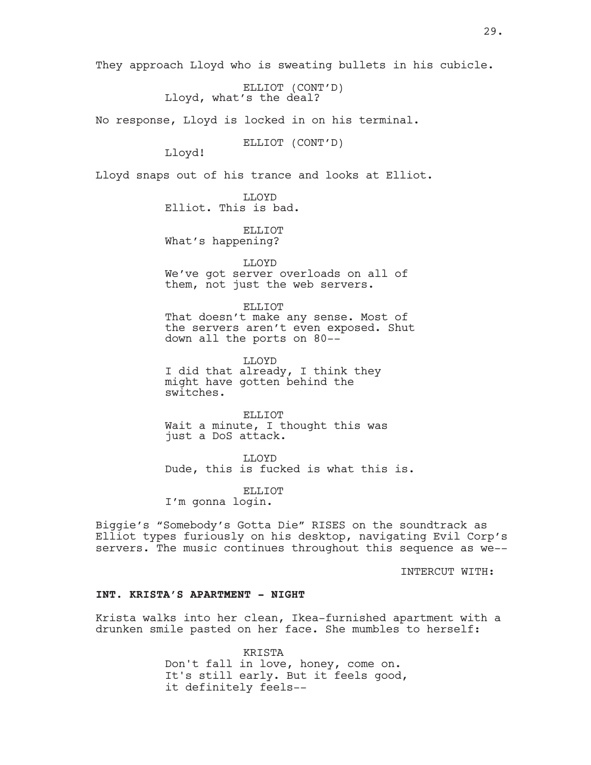They approach Lloyd who is sweating bullets in his cubicle.

ELLIOT (CONT'D) Lloyd, what's the deal?

No response, Lloyd is locked in on his terminal.

ELLIOT (CONT'D)

Lloyd!

Lloyd snaps out of his trance and looks at Elliot.

LLOYD Elliot. This is bad.

ELLIOT What's happening?

LLOYD We've got server overloads on all of them, not just the web servers.

ELLIOT That doesn't make any sense. Most of the servers aren't even exposed. Shut down all the ports on 80--

LLOYD I did that already, I think they might have gotten behind the switches.

ELLIOT Wait a minute, I thought this was just a DoS attack.

LLOYD Dude, this is fucked is what this is.

ELLIOT I'm gonna login.

Biggie's "Somebody's Gotta Die" RISES on the soundtrack as Elliot types furiously on his desktop, navigating Evil Corp's servers. The music continues throughout this sequence as we--

INTERCUT WITH:

### **INT. KRISTA'S APARTMENT - NIGHT**

Krista walks into her clean, Ikea-furnished apartment with a drunken smile pasted on her face. She mumbles to herself:

> KRISTA Don't fall in love, honey, come on. It's still early. But it feels good, it definitely feels--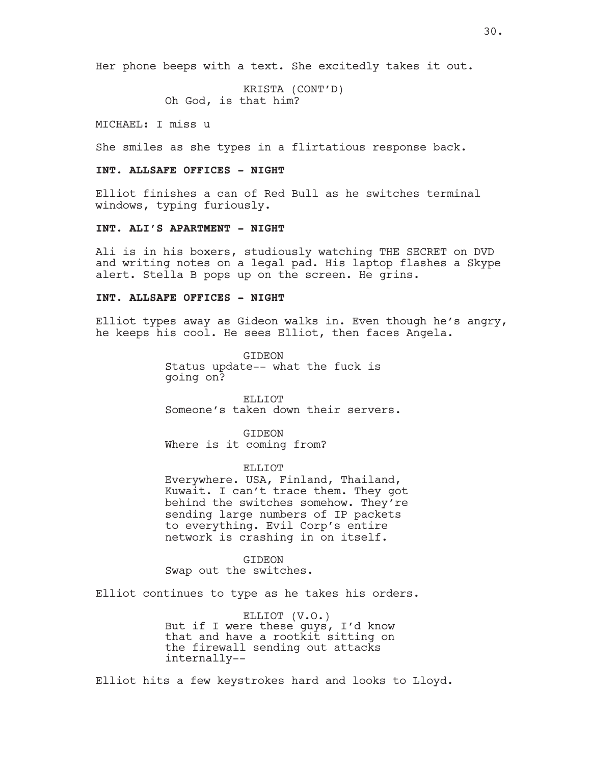Her phone beeps with a text. She excitedly takes it out.

KRISTA (CONT'D) Oh God, is that him?

MICHAEL: I miss u

She smiles as she types in a flirtatious response back.

### **INT. ALLSAFE OFFICES - NIGHT**

Elliot finishes a can of Red Bull as he switches terminal windows, typing furiously.

# **INT. ALI'S APARTMENT - NIGHT**

Ali is in his boxers, studiously watching THE SECRET on DVD and writing notes on a legal pad. His laptop flashes a Skype alert. Stella B pops up on the screen. He grins.

#### **INT. ALLSAFE OFFICES - NIGHT**

Elliot types away as Gideon walks in. Even though he's angry, he keeps his cool. He sees Elliot, then faces Angela.

> GIDEON Status update-- what the fuck is going on?

ELLIOT Someone's taken down their servers.

GIDEON Where is it coming from?

ELLIOT Everywhere. USA, Finland, Thailand, Kuwait. I can't trace them. They got behind the switches somehow. They're sending large numbers of IP packets to everything. Evil Corp's entire network is crashing in on itself.

GIDEON Swap out the switches.

Elliot continues to type as he takes his orders.

ELLIOT (V.O.) But if I were these guys, I'd know that and have a rootkit sitting on the firewall sending out attacks internally--

Elliot hits a few keystrokes hard and looks to Lloyd.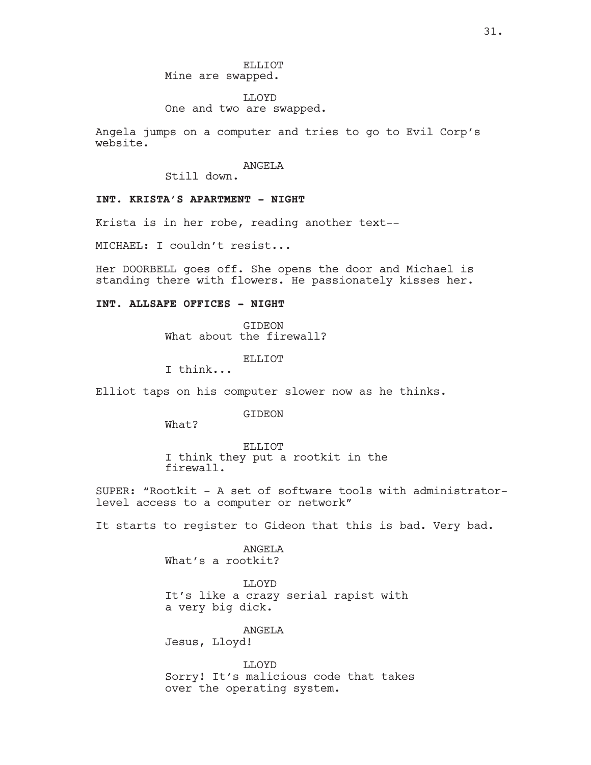ELLIOT Mine are swapped.

LLOYD One and two are swapped.

Angela jumps on a computer and tries to go to Evil Corp's website.

### ANGELA

Still down.

# **INT. KRISTA'S APARTMENT - NIGHT**

Krista is in her robe, reading another text--

MICHAEL: I couldn't resist...

Her DOORBELL goes off. She opens the door and Michael is standing there with flowers. He passionately kisses her.

# **INT. ALLSAFE OFFICES - NIGHT**

GIDEON What about the firewall?

ELLIOT

I think...

Elliot taps on his computer slower now as he thinks.

GIDEON

What?

ELLIOT I think they put a rootkit in the firewall.

SUPER: "Rootkit - A set of software tools with administratorlevel access to a computer or network"

It starts to register to Gideon that this is bad. Very bad.

ANGELA What's a rootkit?

LLOYD It's like a crazy serial rapist with a very big dick.

ANGELA Jesus, Lloyd!

LLOYD Sorry! It's malicious code that takes over the operating system.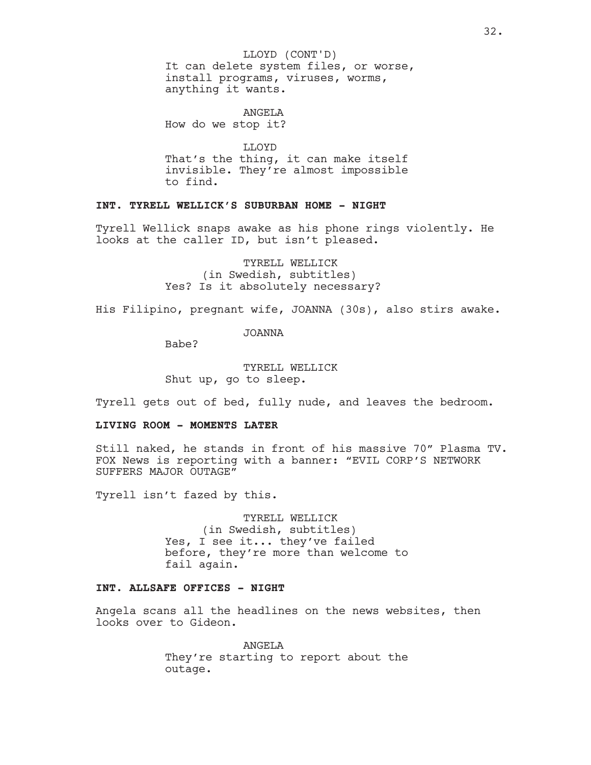It can delete system files, or worse, install programs, viruses, worms, anything it wants. LLOYD (CONT'D)

ANGELA How do we stop it?

LLOYD That's the thing, it can make itself invisible. They're almost impossible to find.

# **INT. TYRELL WELLICK'S SUBURBAN HOME - NIGHT**

Tyrell Wellick snaps awake as his phone rings violently. He looks at the caller ID, but isn't pleased.

> TYRELL WELLICK (in Swedish, subtitles) Yes? Is it absolutely necessary?

His Filipino, pregnant wife, JOANNA (30s), also stirs awake.

JOANNA

Babe?

TYRELL WELLICK Shut up, go to sleep.

Tyrell gets out of bed, fully nude, and leaves the bedroom.

### **LIVING ROOM - MOMENTS LATER**

Still naked, he stands in front of his massive 70" Plasma TV. FOX News is reporting with a banner: "EVIL CORP'S NETWORK SUFFERS MAJOR OUTAGE"

Tyrell isn't fazed by this.

TYRELL WELLICK (in Swedish, subtitles) Yes, I see it... they've failed before, they're more than welcome to fail again.

### **INT. ALLSAFE OFFICES - NIGHT**

Angela scans all the headlines on the news websites, then looks over to Gideon.

> **ANGELA** They're starting to report about the outage.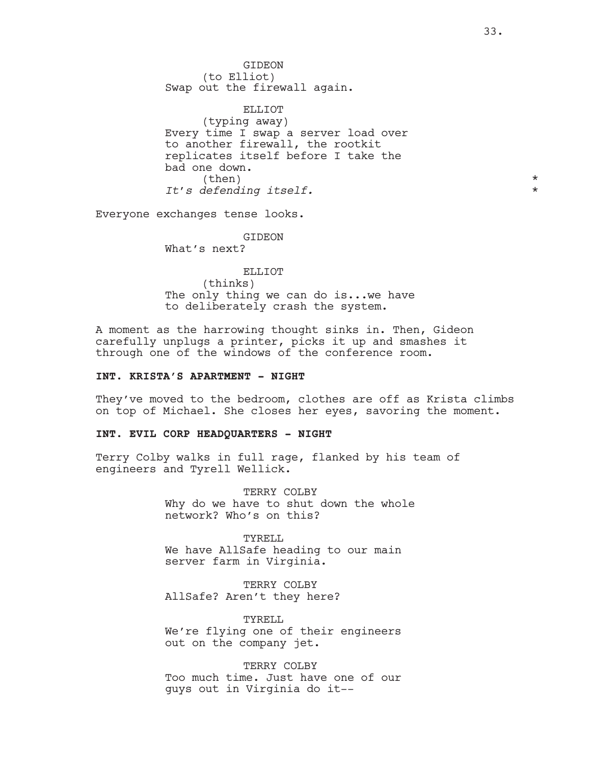GIDEON (to Elliot) Swap out the firewall again.

ELLIOT (typing away) Every time I swap a server load over to another firewall, the rootkit replicates itself before I take the bad one down.  $\times$ *It's defending itself.* \*

Everyone exchanges tense looks.

GIDEON What's next?

ELLIOT (thinks) The only thing we can do is...we have to deliberately crash the system.

A moment as the harrowing thought sinks in. Then, Gideon carefully unplugs a printer, picks it up and smashes it through one of the windows of the conference room.

# **INT. KRISTA'S APARTMENT - NIGHT**

They've moved to the bedroom, clothes are off as Krista climbs on top of Michael. She closes her eyes, savoring the moment.

### **INT. EVIL CORP HEADQUARTERS - NIGHT**

Terry Colby walks in full rage, flanked by his team of engineers and Tyrell Wellick.

> TERRY COLBY Why do we have to shut down the whole network? Who's on this?

TYRELL We have AllSafe heading to our main server farm in Virginia.

TERRY COLBY AllSafe? Aren't they here?

TYRELL We're flying one of their engineers out on the company jet.

TERRY COLBY Too much time. Just have one of our guys out in Virginia do it--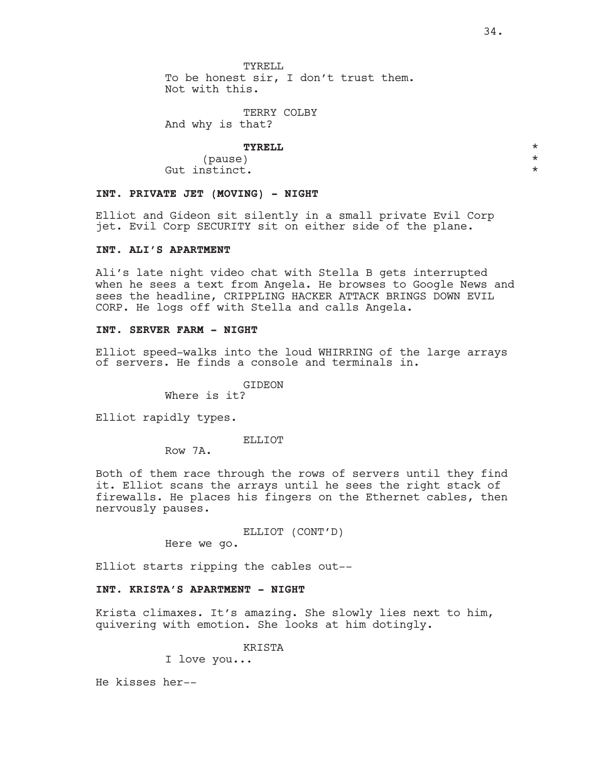TYRELL. To be honest sir, I don't trust them. Not with this.

TERRY COLBY And why is that?

# **TYRELL** \*

(pause) \* Gut instinct.  $\star$ 

### **INT. PRIVATE JET (MOVING) - NIGHT**

Elliot and Gideon sit silently in a small private Evil Corp jet. Evil Corp SECURITY sit on either side of the plane.

# **INT. ALI'S APARTMENT**

Ali's late night video chat with Stella B gets interrupted when he sees a text from Angela. He browses to Google News and sees the headline, CRIPPLING HACKER ATTACK BRINGS DOWN EVIL CORP. He logs off with Stella and calls Angela.

# **INT. SERVER FARM - NIGHT**

Elliot speed-walks into the loud WHIRRING of the large arrays of servers. He finds a console and terminals in.

GIDEON

Where is it?

Elliot rapidly types.

#### ELLIOT

Row 7A.

Both of them race through the rows of servers until they find it. Elliot scans the arrays until he sees the right stack of firewalls. He places his fingers on the Ethernet cables, then nervously pauses.

ELLIOT (CONT'D)

Here we go.

Elliot starts ripping the cables out--

### **INT. KRISTA'S APARTMENT - NIGHT**

Krista climaxes. It's amazing. She slowly lies next to him, quivering with emotion. She looks at him dotingly.

KRISTA

I love you...

He kisses her--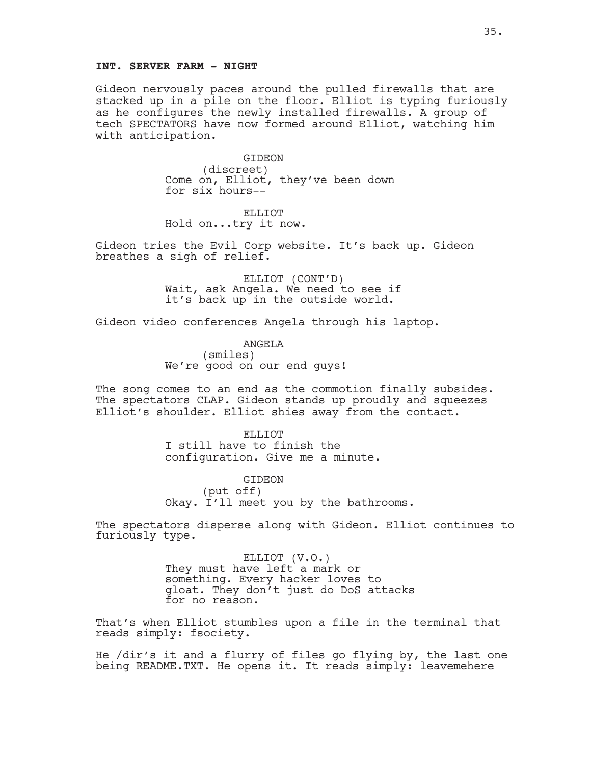#### **INT. SERVER FARM - NIGHT**

Gideon nervously paces around the pulled firewalls that are stacked up in a pile on the floor. Elliot is typing furiously as he configures the newly installed firewalls. A group of tech SPECTATORS have now formed around Elliot, watching him with anticipation.

> GIDEON (discreet) Come on, Elliot, they've been down for six hours--

ELLIOT Hold on...try it now.

Gideon tries the Evil Corp website. It's back up. Gideon breathes a sigh of relief.

> ELLIOT (CONT'D) Wait, ask Angela. We need to see if it's back up in the outside world.

Gideon video conferences Angela through his laptop.

ANGELA (smiles) We're good on our end guys!

The song comes to an end as the commotion finally subsides. The spectators CLAP. Gideon stands up proudly and squeezes Elliot's shoulder. Elliot shies away from the contact.

> ELLIOT I still have to finish the configuration. Give me a minute.

GIDEON (put off) Okay. I'll meet you by the bathrooms.

The spectators disperse along with Gideon. Elliot continues to furiously type.

> ELLIOT (V.O.) They must have left a mark or something. Every hacker loves to gloat. They don't just do DoS attacks for no reason.

That's when Elliot stumbles upon a file in the terminal that reads simply: fsociety.

He /dir's it and a flurry of files go flying by, the last one being README.TXT. He opens it. It reads simply: leavemehere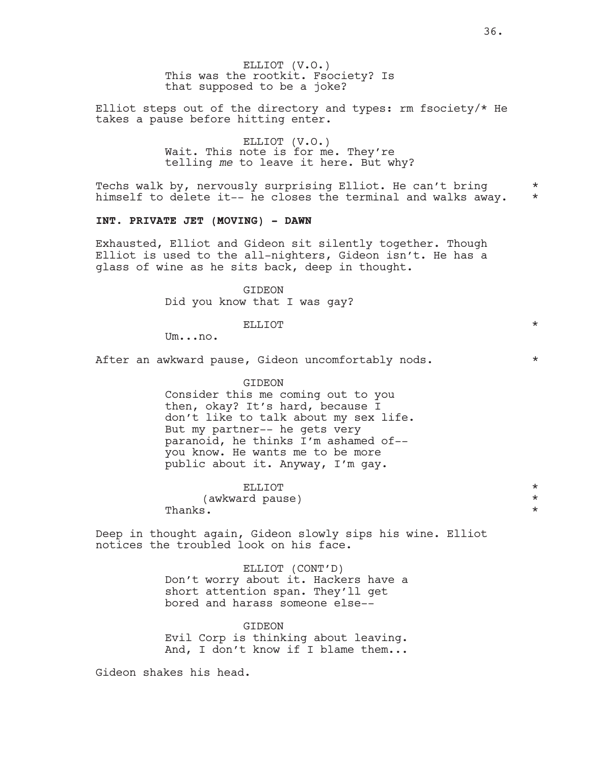ELLIOT (V.O.) This was the rootkit. Fsociety? Is that supposed to be a joke?

Elliot steps out of the directory and types: rm fsociety/\* He takes a pause before hitting enter.

> ELLIOT (V.O.) Wait. This note is for me. They're telling *me* to leave it here. But why?

Techs walk by, nervously surprising Elliot. He can't bring  $*$ himself to delete it-- he closes the terminal and walks away.  $*$ 

### **INT. PRIVATE JET (MOVING) - DAWN**

Exhausted, Elliot and Gideon sit silently together. Though Elliot is used to the all-nighters, Gideon isn't. He has a glass of wine as he sits back, deep in thought.

> **GIDEON** Did you know that I was gay?

Um...no.

After an awkward pause, Gideon uncomfortably nods.  $*$ 

GIDEON

Consider this me coming out to you then, okay? It's hard, because I don't like to talk about my sex life. But my partner-- he gets very paranoid, he thinks I'm ashamed of- you know. He wants me to be more public about it. Anyway, I'm gay.

ELLIOT  $\qquad \qquad \star$ 

(awkward pause) \*

Thanks .  $\qquad \qquad \star$ 

Deep in thought again, Gideon slowly sips his wine. Elliot notices the troubled look on his face.

> ELLIOT (CONT'D) Don't worry about it. Hackers have a short attention span. They'll get bored and harass someone else--

> **GIDEON** Evil Corp is thinking about leaving. And, I don't know if I blame them...

Gideon shakes his head.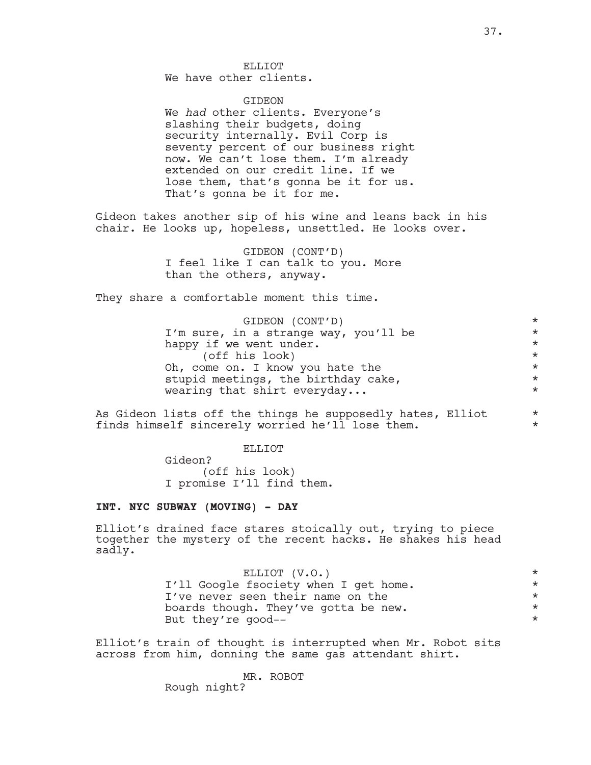We have other clients.

### GIDEON

We *had* other clients. Everyone's slashing their budgets, doing security internally. Evil Corp is seventy percent of our business right now. We can't lose them. I'm already extended on our credit line. If we lose them, that's gonna be it for us. That's gonna be it for me.

Gideon takes another sip of his wine and leans back in his chair. He looks up, hopeless, unsettled. He looks over.

> GIDEON (CONT'D) I feel like I can talk to you. More than the others, anyway.

They share a comfortable moment this time.

| GIDEON (CONT'D)                       | $\star$ |
|---------------------------------------|---------|
| I'm sure, in a strange way, you'll be | $\star$ |
| happy if we went under.               | $\star$ |
| (off his look)                        | $\star$ |
| Oh, come on. I know you hate the      | $\star$ |
| stupid meetings, the birthday cake,   | $\star$ |
| wearing that shirt everyday           | $\star$ |
|                                       |         |

As Gideon lists off the things he supposedly hates, Elliot \* finds himself sincerely worried he'll lose them.  $*$ 

ELLIOT

Gideon? (off his look) I promise I'll find them.

### **INT. NYC SUBWAY (MOVING) - DAY**

Elliot's drained face stares stoically out, trying to piece together the mystery of the recent hacks. He shakes his head sadly.

| ELLIOT (V.O.)                         | $\star$ |
|---------------------------------------|---------|
| I'll Google fsociety when I get home. | $\star$ |
| I've never seen their name on the     | $\star$ |
| boards though. They've gotta be new.  | $\star$ |
| But they're good--                    | $\star$ |

Elliot's train of thought is interrupted when Mr. Robot sits across from him, donning the same gas attendant shirt.

> MR. ROBOT Rough night?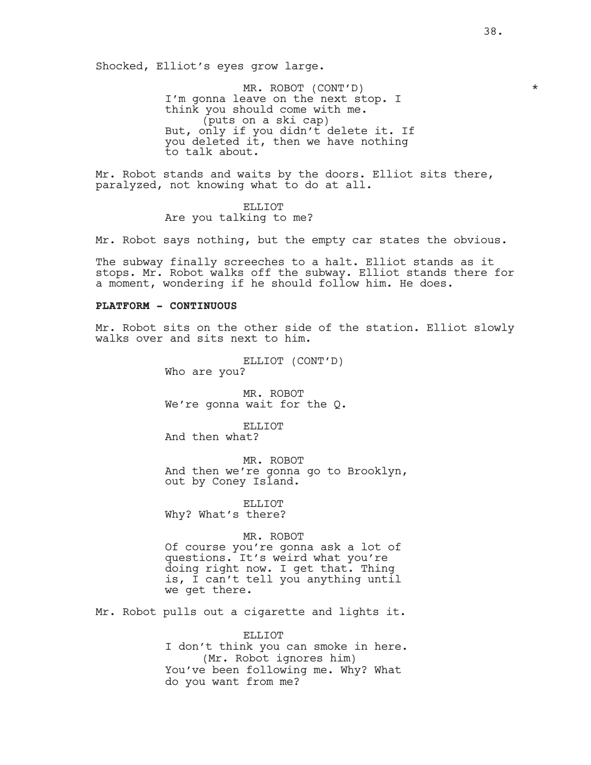Shocked, Elliot's eyes grow large.

MR. ROBOT (CONT'D) \* I'm gonna leave on the next stop. I think you should come with me. (puts on a ski cap) But, only if you didn't delete it. If you deleted it, then we have nothing to talk about.

Mr. Robot stands and waits by the doors. Elliot sits there, paralyzed, not knowing what to do at all.

> ELLIOT Are you talking to me?

Mr. Robot says nothing, but the empty car states the obvious.

The subway finally screeches to a halt. Elliot stands as it stops. Mr. Robot walks off the subway. Elliot stands there for a moment, wondering if he should follow him. He does.

### **PLATFORM - CONTINUOUS**

Mr. Robot sits on the other side of the station. Elliot slowly walks over and sits next to him.

> ELLIOT (CONT'D) Who are you?

MR. ROBOT We're gonna wait for the Q.

ELLIOT And then what?

MR. ROBOT And then we're gonna go to Brooklyn, out by Coney Island.

ELLIOT Why? What's there?

# MR. ROBOT

Of course you're gonna ask a lot of questions. It's weird what you're doing right now. I get that. Thing is, I can't tell you anything until we get there.

Mr. Robot pulls out a cigarette and lights it.

#### ELLIOT

I don't think you can smoke in here. (Mr. Robot ignores him) You've been following me. Why? What do you want from me?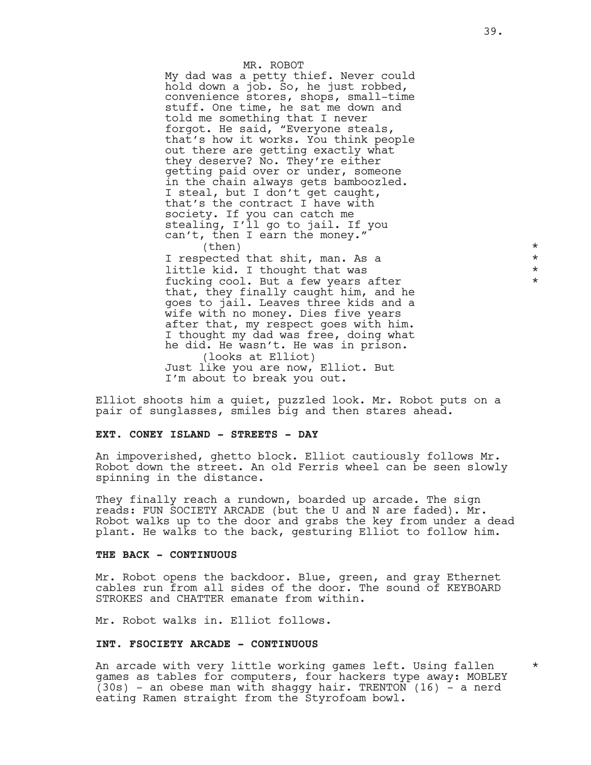### MR. ROBOT My dad was a petty thief. Never could hold down a job. So, he just robbed, convenience stores, shops, small-time stuff. One time, he sat me down and told me something that I never forgot. He said, "Everyone steals, that's how it works. You think people out there are getting exactly what they deserve? No. They're either getting paid over or under, someone in the chain always gets bamboozled. I steal, but I don't get caught, that's the contract I have with society. If you can catch me stealing, I'll go to jail. If you can't, then I earn the money."  $\times$

I respected that shit, man. As a  $*$ little kid. I thought that was  $*$ fucking cool. But a few years after  $*$ that, they finally caught him, and he goes to jail. Leaves three kids and a wife with no money. Dies five years after that, my respect goes with him. I thought my dad was free, doing what he did. He wasn't. He was in prison. (looks at Elliot) Just like you are now, Elliot. But I'm about to break you out.

Elliot shoots him a quiet, puzzled look. Mr. Robot puts on a pair of sunglasses, smiles big and then stares ahead.

#### **EXT. CONEY ISLAND - STREETS - DAY**

An impoverished, ghetto block. Elliot cautiously follows Mr. Robot down the street. An old Ferris wheel can be seen slowly spinning in the distance.

They finally reach a rundown, boarded up arcade. The sign reads: FUN SOCIETY ARCADE (but the U and N are faded). Mr. Robot walks up to the door and grabs the key from under a dead plant. He walks to the back, gesturing Elliot to follow him.

#### **THE BACK - CONTINUOUS**

Mr. Robot opens the backdoor. Blue, green, and gray Ethernet cables run from all sides of the door. The sound of KEYBOARD STROKES and CHATTER emanate from within.

Mr. Robot walks in. Elliot follows.

#### **INT. FSOCIETY ARCADE - CONTINUOUS**

An arcade with very little working games left. Using fallen games as tables for computers, four hackers type away: MOBLEY  $(30s)$  - an obese man with shaggy hair. TRENTON (16) - a nerd eating Ramen straight from the Styrofoam bowl.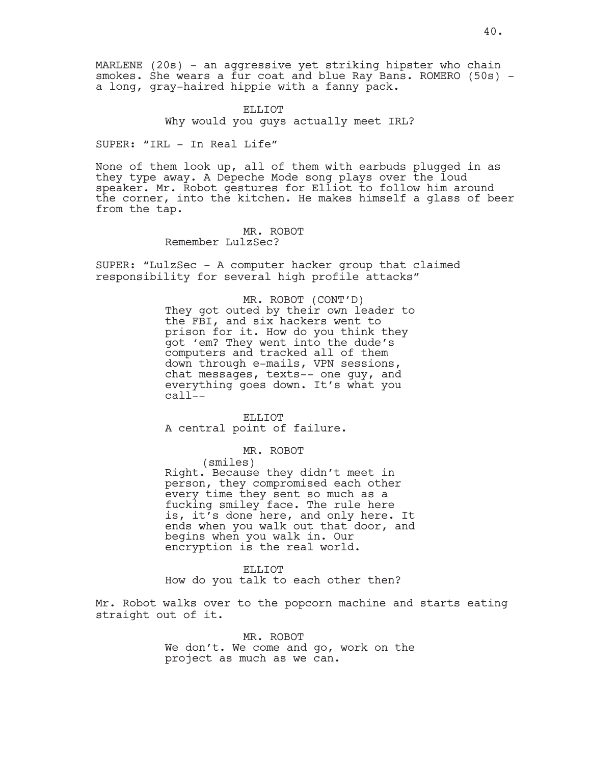MARLENE (20s) - an aggressive yet striking hipster who chain smokes. She wears a fur coat and blue Ray Bans. ROMERO (50s) a long, gray-haired hippie with a fanny pack.

> ELLIOT Why would you guys actually meet IRL?

SUPER: "IRL - In Real Life"

None of them look up, all of them with earbuds plugged in as they type away. A Depeche Mode song plays over the loud speaker. Mr. Robot gestures for Elliot to follow him around the corner, into the kitchen. He makes himself a glass of beer from the tap.

> MR. ROBOT Remember LulzSec?

SUPER: "LulzSec - A computer hacker group that claimed responsibility for several high profile attacks"

> MR. ROBOT (CONT'D) They got outed by their own leader to the FBI, and six hackers went to prison for it. How do you think they got 'em? They went into the dude's computers and tracked all of them down through e-mails, VPN sessions, chat messages, texts-- one guy, and everything goes down. It's what you  $cal1$ --

ELLIOT A central point of failure.

MR. ROBOT

(smiles)

Right. Because they didn't meet in person, they compromised each other every time they sent so much as a fucking smiley face. The rule here is, it's done here, and only here. It ends when you walk out that door, and begins when you walk in. Our encryption is the real world.

ELLIOT

How do you talk to each other then?

Mr. Robot walks over to the popcorn machine and starts eating straight out of it.

> MR. ROBOT We don't. We come and go, work on the project as much as we can.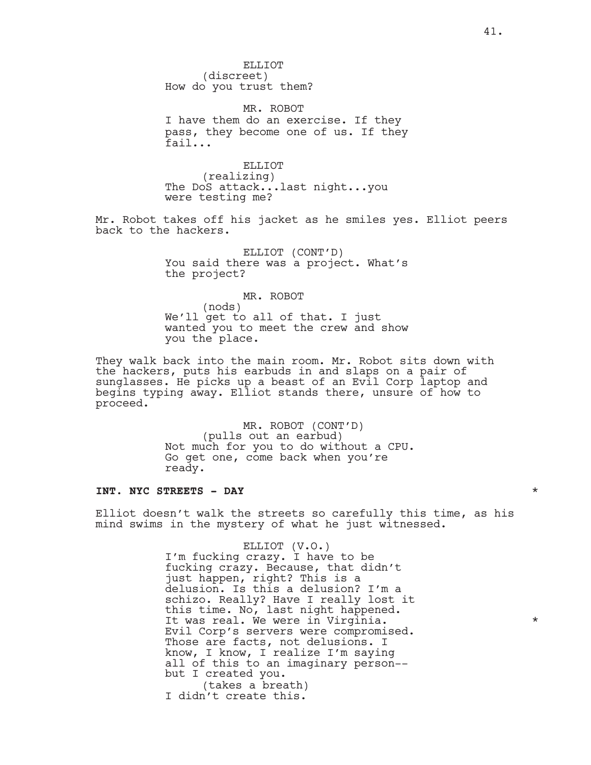ELLIOT (discreet) How do you trust them?

MR. ROBOT I have them do an exercise. If they pass, they become one of us. If they fail...

ELLIOT (realizing) The DoS attack...last night...you were testing me?

Mr. Robot takes off his jacket as he smiles yes. Elliot peers back to the hackers.

> ELLIOT (CONT'D) You said there was a project. What's the project?

> MR. ROBOT (nods) We'll get to all of that. I just wanted you to meet the crew and show you the place.

They walk back into the main room. Mr. Robot sits down with the hackers, puts his earbuds in and slaps on a pair of sunglasses. He picks up a beast of an Evil Corp laptop and begins typing away. Elliot stands there, unsure of how to proceed.

> MR. ROBOT (CONT'D) (pulls out an earbud) Not much for you to do without a CPU. Go get one, come back when you're ready.

### **INT. NYC STREETS - DAY** \*

Elliot doesn't walk the streets so carefully this time, as his mind swims in the mystery of what he just witnessed.

> ELLIOT (V.O.) I'm fucking crazy. I have to be fucking crazy. Because, that didn't just happen, right? This is a delusion. Is this a delusion? I'm a schizo. Really? Have I really lost it this time. No, last night happened. It was real. We were in Virginia.  $*$ Evil Corp's servers were compromised. Those are facts, not delusions. I know, I know, I realize I'm saying all of this to an imaginary person- but I created you. (takes a breath)

I didn't create this.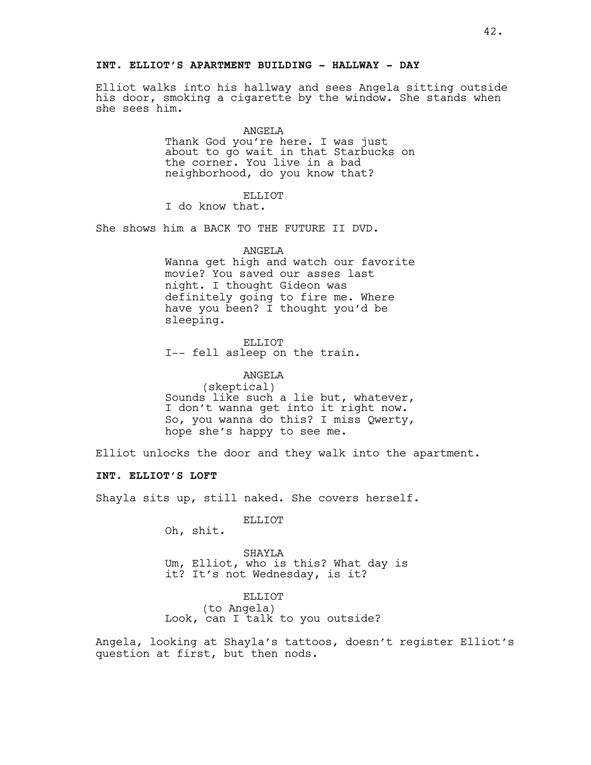# **INT. ELLIOT'S APARTMENT BUILDING - HALLWAY - DAY**

Elliot walks into his hallway and sees Angela sitting outside his door, smoking a cigarette by the window. She stands when she sees him.

#### ANGELA

Thank God you're here. I was just about to go wait in that Starbucks on the corner. You live in a bad neighborhood, do you know that?

#### ELLIOT

I do know that.

She shows him a BACK TO THE FUTURE II DVD.

#### ANGELA

Wanna get high and watch our favorite movie? You saved our asses last night. I thought Gideon was definitely going to fire me. Where have you been? I thought you'd be sleeping.

ELLIOT I-- fell asleep on the train.

#### ANGELA

(skeptical) Sounds like such a lie but, whatever, I don't wanna get into it right now. So, you wanna do this? I miss Qwerty, hope she's happy to see me.

Elliot unlocks the door and they walk into the apartment.

# **INT. ELLIOT'S LOFT**

Shayla sits up, still naked. She covers herself.

ELLIOT

Oh, shit.

SHAYLA Um, Elliot, who is this? What day is it? It's not Wednesday, is it?

#### ELLIOT

(to Angela) Look, can I talk to you outside?

Angela, looking at Shayla's tattoos, doesn't register Elliot's question at first, but then nods.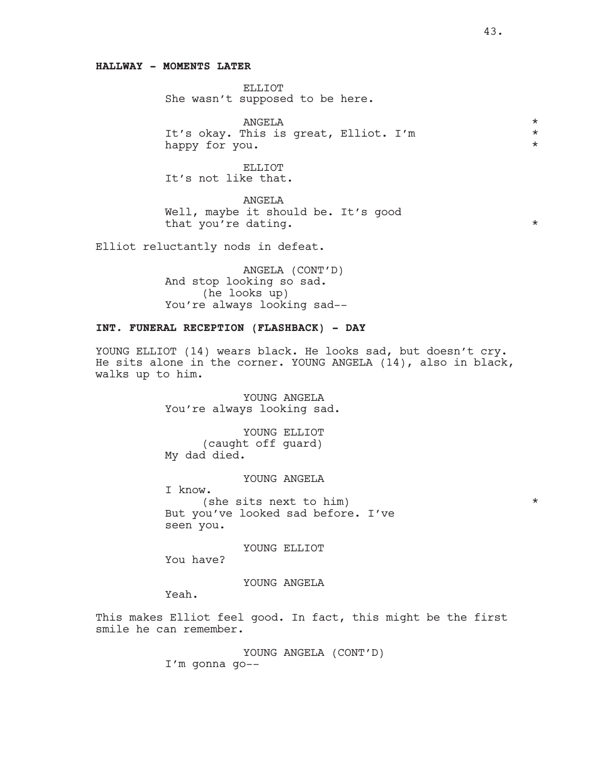### **HALLWAY - MOMENTS LATER**

ELLIOT She wasn't supposed to be here.

ANGELA<br>This is great. Elliot. I'm It's okay. This is great, Elliot. I'm happy for you.  $\star$ 

ELLIOT It's not like that.

ANGELA Well, maybe it should be. It's good that you're dating.  $*$ 

Elliot reluctantly nods in defeat.

ANGELA (CONT'D) And stop looking so sad. (he looks up) You're always looking sad--

# **INT. FUNERAL RECEPTION (FLASHBACK) - DAY**

YOUNG ELLIOT (14) wears black. He looks sad, but doesn't cry. He sits alone in the corner. YOUNG ANGELA (14), also in black, walks up to him.

> YOUNG ANGELA You're always looking sad.

YOUNG ELLIOT (caught off guard) My dad died.

YOUNG ANGELA

I know.

(she sits next to him)  $*$ But you've looked sad before. I've seen you.

YOUNG ELLIOT

You have?

YOUNG ANGELA

Yeah.

This makes Elliot feel good. In fact, this might be the first smile he can remember.

YOUNG ANGELA (CONT'D)

I'm gonna go--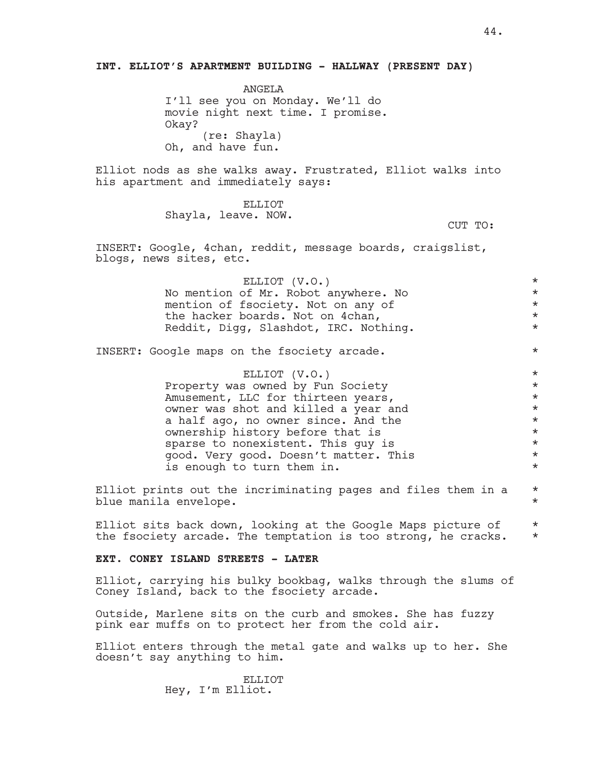ANGELA I'll see you on Monday. We'll do movie night next time. I promise. Okay? (re: Shayla) Oh, and have fun.

Elliot nods as she walks away. Frustrated, Elliot walks into his apartment and immediately says:

> ELLIOT Shayla, leave. NOW.

CUT TO:

INSERT: Google, 4chan, reddit, message boards, craigslist, blogs, news sites, etc.

| ELLIOT (V.O.)                         | $\star$ |
|---------------------------------------|---------|
| No mention of Mr. Robot anywhere. No  | $\star$ |
| mention of fsociety. Not on any of    | $\star$ |
| the hacker boards. Not on 4chan,      | $\star$ |
| Reddit, Digg, Slashdot, IRC. Nothing. | $\star$ |
|                                       |         |

INSERT: Google maps on the fsociety arcade. \*

ELLIOT (V.O.) \* Property was owned by Fun Society \* Amusement, LLC for thirteen years,<br>
owner was shot and killed a year and \*\*\* owner was shot and killed a year and  $*$ <br>a balf ago, no owner gingo and the  $*$ a half ago, no owner since. And the ownership history before that is  $*$ sparse to nonexistent. This guy is  $*$ good. Very good. Doesn't matter. This \* is enough to turn them in.  $*$ 

Elliot prints out the incriminating pages and files them in a  $*$ blue manila envelope. \*

Elliot sits back down, looking at the Google Maps picture of  $*$ the fsociety arcade. The temptation is too strong, he cracks.  $*$ 

**EXT. CONEY ISLAND STREETS - LATER**

Elliot, carrying his bulky bookbag, walks through the slums of Coney Island, back to the fsociety arcade.

Outside, Marlene sits on the curb and smokes. She has fuzzy pink ear muffs on to protect her from the cold air.

Elliot enters through the metal gate and walks up to her. She doesn't say anything to him.

> ELLIOT Hey, I'm Elliot.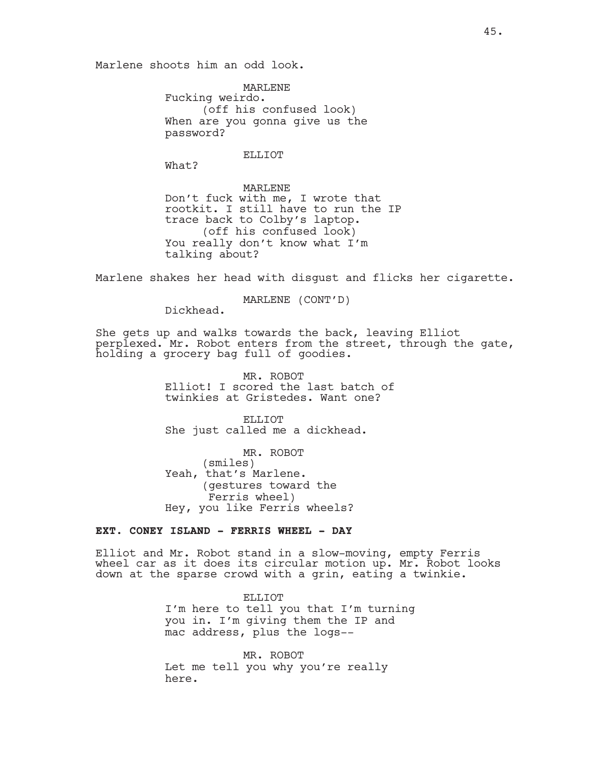Marlene shoots him an odd look.

MARLENE Fucking weirdo. (off his confused look) When are you gonna give us the password?

ELLIOT

What?

MARLENE Don't fuck with me, I wrote that rootkit. I still have to run the IP trace back to Colby's laptop. (off his confused look) You really don't know what I'm talking about?

Marlene shakes her head with disgust and flicks her cigarette.

MARLENE (CONT'D)

Dickhead.

She gets up and walks towards the back, leaving Elliot perplexed. Mr. Robot enters from the street, through the gate, holding a grocery bag full of goodies.

> MR. ROBOT Elliot! I scored the last batch of twinkies at Gristedes. Want one?

ELLIOT She just called me a dickhead.

MR. ROBOT (smiles) Yeah, that's Marlene. (gestures toward the Ferris wheel) Hey, you like Ferris wheels?

# **EXT. CONEY ISLAND - FERRIS WHEEL - DAY**

Elliot and Mr. Robot stand in a slow-moving, empty Ferris wheel car as it does its circular motion up. Mr. Robot looks down at the sparse crowd with a grin, eating a twinkie.

> ELLIOT I'm here to tell you that I'm turning you in. I'm giving them the IP and mac address, plus the logs--

MR. ROBOT Let me tell you why you're really here.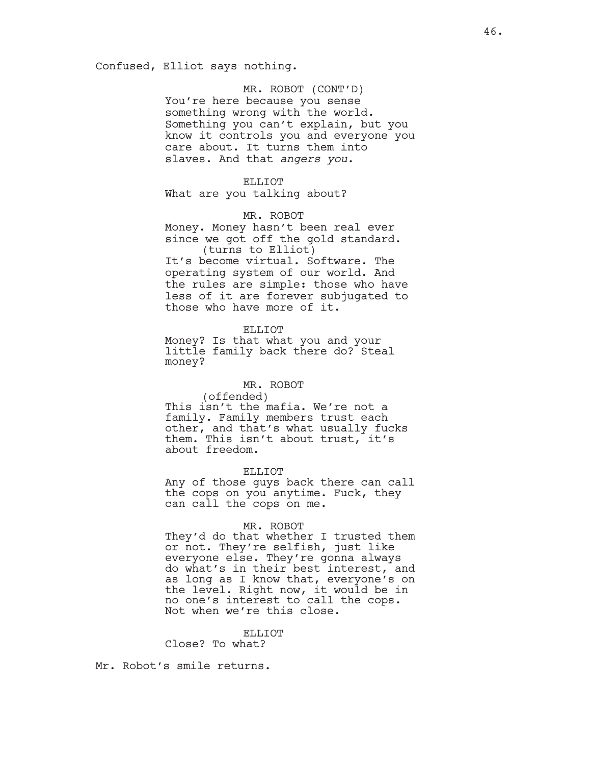MR. ROBOT (CONT'D) You're here because you sense something wrong with the world. Something you can't explain, but you know it controls you and everyone you care about. It turns them into slaves. And that *angers you*.

### ELLIOT

What are you talking about?

#### MR. ROBOT

Money. Money hasn't been real ever since we got off the gold standard. (turns to Elliot)

It's become virtual. Software. The operating system of our world. And the rules are simple: those who have less of it are forever subjugated to those who have more of it.

ELLIOT

Money? Is that what you and your little family back there do? Steal money?

#### MR. ROBOT

(offended) This isn't the mafia. We're not a family. Family members trust each other, and that's what usually fucks them. This isn't about trust, it's about freedom.

#### ELLIOT

Any of those guys back there can call the cops on you anytime. Fuck, they can call the cops on me.

### MR. ROBOT

They'd do that whether I trusted them or not. They're selfish, just like everyone else. They're gonna always do what's in their best interest, and as long as I know that, everyone's on the level. Right now, it would be in no one's interest to call the cops. Not when we're this close.

# ELLIOT

Close? To what?

Mr. Robot's smile returns.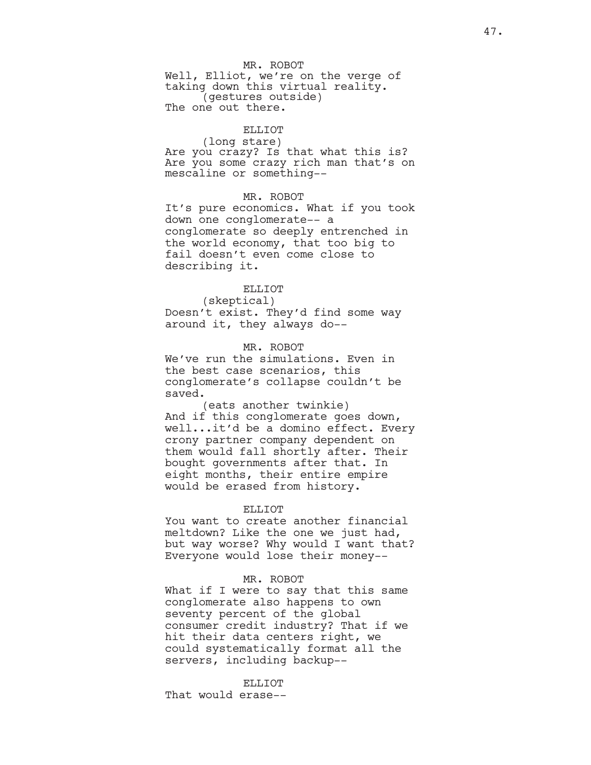#### MR. ROBOT

Well, Elliot, we're on the verge of taking down this virtual reality. (gestures outside) The one out there.

### ELLIOT

(long stare) Are you crazy? Is that what this is? Are you some crazy rich man that's on mescaline or something--

### MR. ROBOT

It's pure economics. What if you took down one conglomerate-- a conglomerate so deeply entrenched in the world economy, that too big to fail doesn't even come close to describing it.

# ELLIOT

(skeptical) Doesn't exist. They'd find some way around it, they always do--

#### MR. ROBOT

We've run the simulations. Even in the best case scenarios, this conglomerate's collapse couldn't be saved.

(eats another twinkie) And if this conglomerate goes down, well...it'd be a domino effect. Every crony partner company dependent on them would fall shortly after. Their bought governments after that. In eight months, their entire empire would be erased from history.

#### ELLIOT

You want to create another financial meltdown? Like the one we just had, but way worse? Why would I want that? Everyone would lose their money--

#### MR. ROBOT

What if I were to say that this same conglomerate also happens to own seventy percent of the global consumer credit industry? That if we hit their data centers right, we could systematically format all the servers, including backup--

#### ELLIOT

That would erase--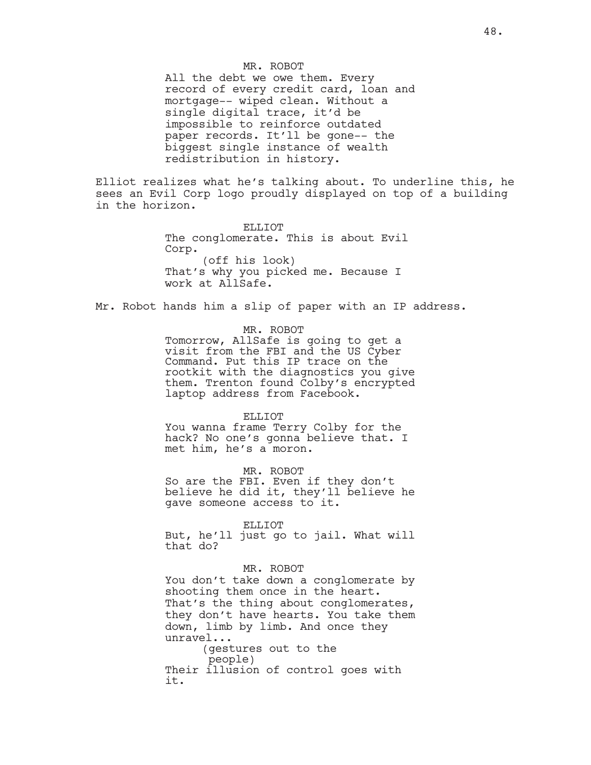#### MR. ROBOT

All the debt we owe them. Every record of every credit card, loan and mortgage-- wiped clean. Without a single digital trace, it'd be impossible to reinforce outdated paper records. It'll be gone-- the biggest single instance of wealth redistribution in history.

Elliot realizes what he's talking about. To underline this, he sees an Evil Corp logo proudly displayed on top of a building in the horizon.

> ELLIOT The conglomerate. This is about Evil Corp. (off his look) That's why you picked me. Because I work at AllSafe.

Mr. Robot hands him a slip of paper with an IP address.

MR. ROBOT

Tomorrow, AllSafe is going to get a visit from the FBI and the US Cyber Command. Put this IP trace on the rootkit with the diagnostics you give them. Trenton found Colby's encrypted laptop address from Facebook.

#### ELLIOT

You wanna frame Terry Colby for the hack? No one's gonna believe that. I met him, he's a moron.

MR. ROBOT So are the FBI. Even if they don't believe he did it, they'll believe he gave someone access to it.

ELLIOT

But, he'll just go to jail. What will that do?

#### MR. ROBOT

You don't take down a conglomerate by shooting them once in the heart. That's the thing about conglomerates, they don't have hearts. You take them down, limb by limb. And once they unravel...

(gestures out to the people) Their illusion of control goes with it.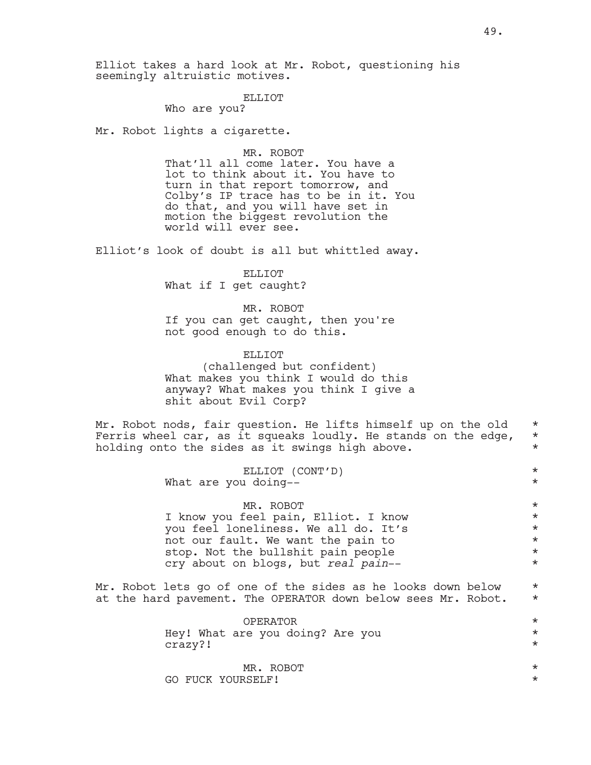Elliot takes a hard look at Mr. Robot, questioning his seemingly altruistic motives.

#### ELLIOT

Who are you?

Mr. Robot lights a cigarette.

MR. ROBOT That'll all come later. You have a lot to think about it. You have to turn in that report tomorrow, and Colby's IP trace has to be in it. You do that, and you will have set in motion the biggest revolution the world will ever see.

Elliot's look of doubt is all but whittled away.

### ELLIOT What if I get caught?

MR. ROBOT If you can get caught, then you're not good enough to do this.

# ELLIOT (challenged but confident) What makes you think I would do this anyway? What makes you think I give a shit about Evil Corp?

Mr. Robot nods, fair question. He lifts himself up on the old  $*$ Ferris wheel car, as it squeaks loudly. He stands on the edge,  $\star$  holding onto the sides as it swings high above. holding onto the sides as it swings high above.

|  | ELLIOT (CONT'D)      |  |
|--|----------------------|--|
|  | What are you doing-- |  |

| MR. ROBOT                            | $\star$ |
|--------------------------------------|---------|
| I know you feel pain, Elliot. I know | $\star$ |
| you feel loneliness. We all do. It's | $\star$ |
| not our fault. We want the pain to   | $\star$ |
| stop. Not the bullshit pain people   | $\star$ |
| cry about on blogs, but real pain--  | $\star$ |

Mr. Robot lets go of one of the sides as he looks down below \* at the hard pavement. The OPERATOR down below sees Mr. Robot. \*

| OPERATOR                         | $\star$ |
|----------------------------------|---------|
| Hey! What are you doing? Are you | $\star$ |
| crazy?!                          | $\star$ |
|                                  |         |
| MR. ROBOT                        | $\star$ |
| GO FUCK YOURSELF!                | $\star$ |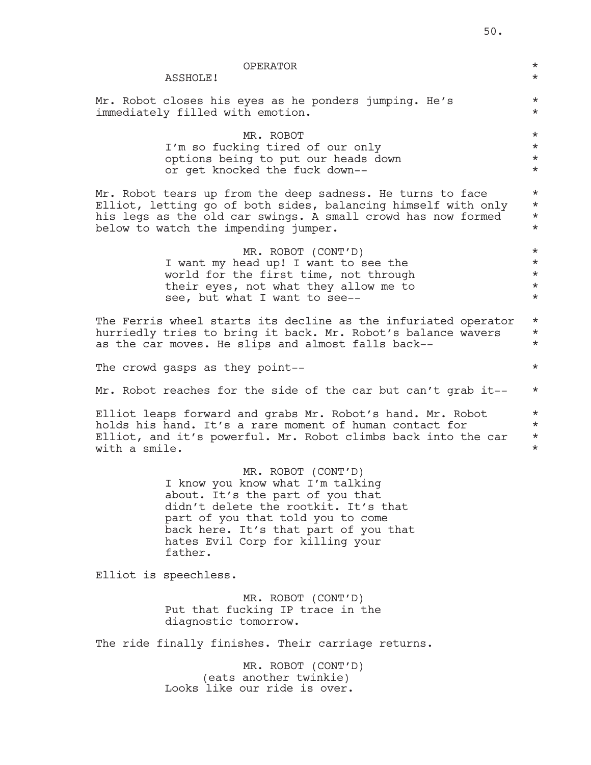|               | <b>OPERATOR</b><br>ASSHOLE!                                                                                                                                                                                                                                     | $\star$<br>$\star$                                    |
|---------------|-----------------------------------------------------------------------------------------------------------------------------------------------------------------------------------------------------------------------------------------------------------------|-------------------------------------------------------|
|               | Mr. Robot closes his eyes as he ponders jumping. He's<br>immediately filled with emotion.                                                                                                                                                                       | $\star$<br>$\star$                                    |
|               | MR. ROBOT<br>I'm so fucking tired of our only<br>options being to put our heads down<br>or get knocked the fuck down--                                                                                                                                          | $\star$<br>$\star$<br>$^\star$<br>$\star$             |
|               | Mr. Robot tears up from the deep sadness. He turns to face<br>Elliot, letting go of both sides, balancing himself with only<br>his legs as the old car swings. A small crowd has now formed<br>below to watch the impending jumper.                             | $\star$<br>$\star$<br>$^\star$<br>$\star$             |
|               | MR. ROBOT (CONT'D)<br>I want my head up! I want to see the<br>world for the first time, not through<br>their eyes, not what they allow me to<br>see, but what I want to see--                                                                                   | $\star$<br>$\star$<br>$^\star$<br>$^\star$<br>$\star$ |
|               | The Ferris wheel starts its decline as the infuriated operator<br>hurriedly tries to bring it back. Mr. Robot's balance wavers<br>as the car moves. He slips and almost falls back--                                                                            | $\star$<br>$^\star$<br>$\star$                        |
|               | The crowd gasps as they point--                                                                                                                                                                                                                                 | $\star$                                               |
|               | Mr. Robot reaches for the side of the car but can't grab it--                                                                                                                                                                                                   | $\star$                                               |
| with a smile. | Elliot leaps forward and grabs Mr. Robot's hand. Mr. Robot<br>holds his hand. It's a rare moment of human contact for<br>Elliot, and it's powerful. Mr. Robot climbs back into the car                                                                          | $\star$<br>$\star$<br>$^\star$<br>$^\star$            |
|               | MR. ROBOT (CONT'D)<br>I know you know what I'm talking<br>about. It's the part of you that<br>didn't delete the rootkit. It's that<br>part of you that told you to come<br>back here. It's that part of you that<br>hates Evil Corp for killing your<br>father. |                                                       |
|               | Elliot is speechless.                                                                                                                                                                                                                                           |                                                       |
|               | MR. ROBOT (CONT'D)<br>Put that fucking IP trace in the<br>diagnostic tomorrow.                                                                                                                                                                                  |                                                       |
|               | The ride finally finishes. Their carriage returns.                                                                                                                                                                                                              |                                                       |
|               | MR. ROBOT (CONT'D)<br>(eats another twinkie)<br>Looks like our ride is over.                                                                                                                                                                                    |                                                       |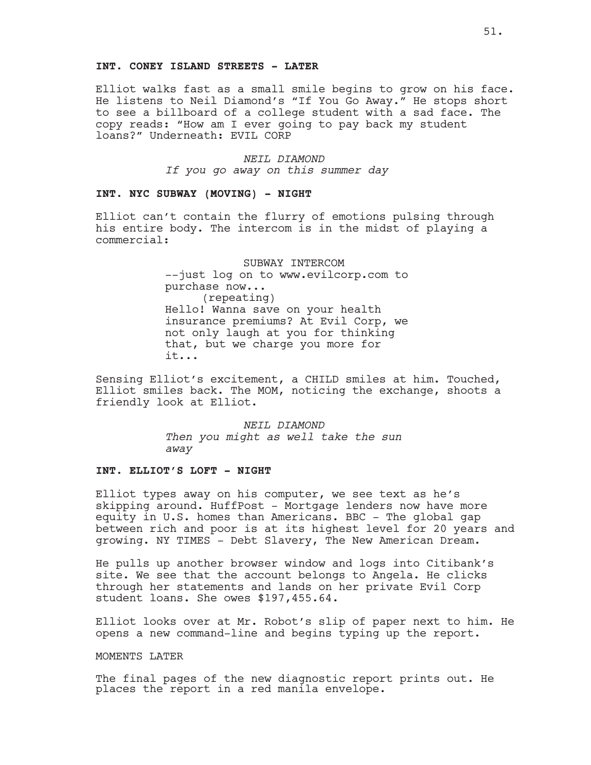#### **INT. CONEY ISLAND STREETS - LATER**

Elliot walks fast as a small smile begins to grow on his face. He listens to Neil Diamond's "If You Go Away." He stops short to see a billboard of a college student with a sad face. The copy reads: "How am I ever going to pay back my student loans?" Underneath: EVIL CORP

> *NEIL DIAMOND If you go away on this summer day*

### **INT. NYC SUBWAY (MOVING) - NIGHT**

Elliot can't contain the flurry of emotions pulsing through his entire body. The intercom is in the midst of playing a commercial:

> SUBWAY INTERCOM --just log on to www.evilcorp.com to purchase now... (repeating) Hello! Wanna save on your health insurance premiums? At Evil Corp, we not only laugh at you for thinking that, but we charge you more for it...

Sensing Elliot's excitement, a CHILD smiles at him. Touched, Elliot smiles back. The MOM, noticing the exchange, shoots a friendly look at Elliot.

> *NEIL DIAMOND Then you might as well take the sun away*

#### **INT. ELLIOT'S LOFT - NIGHT**

Elliot types away on his computer, we see text as he's skipping around. HuffPost - Mortgage lenders now have more equity in U.S. homes than Americans. BBC - The global gap between rich and poor is at its highest level for 20 years and growing. NY TIMES - Debt Slavery, The New American Dream.

He pulls up another browser window and logs into Citibank's site. We see that the account belongs to Angela. He clicks through her statements and lands on her private Evil Corp student loans. She owes \$197,455.64.

Elliot looks over at Mr. Robot's slip of paper next to him. He opens a new command-line and begins typing up the report.

### MOMENTS LATER

The final pages of the new diagnostic report prints out. He places the report in a red manila envelope.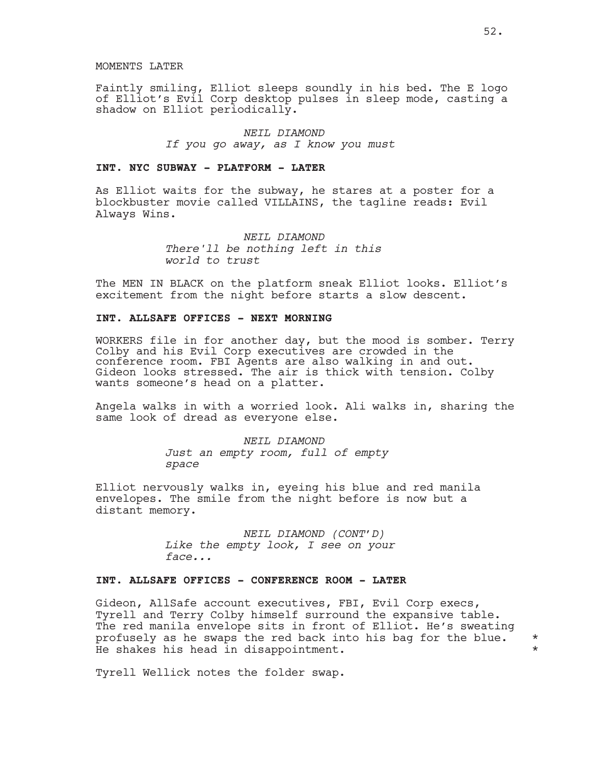#### MOMENTS LATER

Faintly smiling, Elliot sleeps soundly in his bed. The E logo of Elliot's Evil Corp desktop pulses in sleep mode, casting a shadow on Elliot periodically.

# *NEIL DIAMOND If you go away, as I know you must*

### **INT. NYC SUBWAY - PLATFORM - LATER**

As Elliot waits for the subway, he stares at a poster for a blockbuster movie called VILLAINS, the tagline reads: Evil Always Wins.

> *NEIL DIAMOND There'll be nothing left in this world to trust*

The MEN IN BLACK on the platform sneak Elliot looks. Elliot's excitement from the night before starts a slow descent.

# **INT. ALLSAFE OFFICES - NEXT MORNING**

WORKERS file in for another day, but the mood is somber. Terry Colby and his Evil Corp executives are crowded in the conference room. FBI Agents are also walking in and out. Gideon looks stressed. The air is thick with tension. Colby wants someone's head on a platter.

Angela walks in with a worried look. Ali walks in, sharing the same look of dread as everyone else.

> *NEIL DIAMOND Just an empty room, full of empty space*

Elliot nervously walks in, eyeing his blue and red manila envelopes. The smile from the night before is now but a distant memory.

> *NEIL DIAMOND (CONT'D) Like the empty look, I see on your face...*

### **INT. ALLSAFE OFFICES - CONFERENCE ROOM - LATER**

Gideon, AllSafe account executives, FBI, Evil Corp execs, Tyrell and Terry Colby himself surround the expansive table. The red manila envelope sits in front of Elliot. He's sweating profusely as he swaps the red back into his bag for the blue. \* He shakes his head in disappointment. \*

Tyrell Wellick notes the folder swap.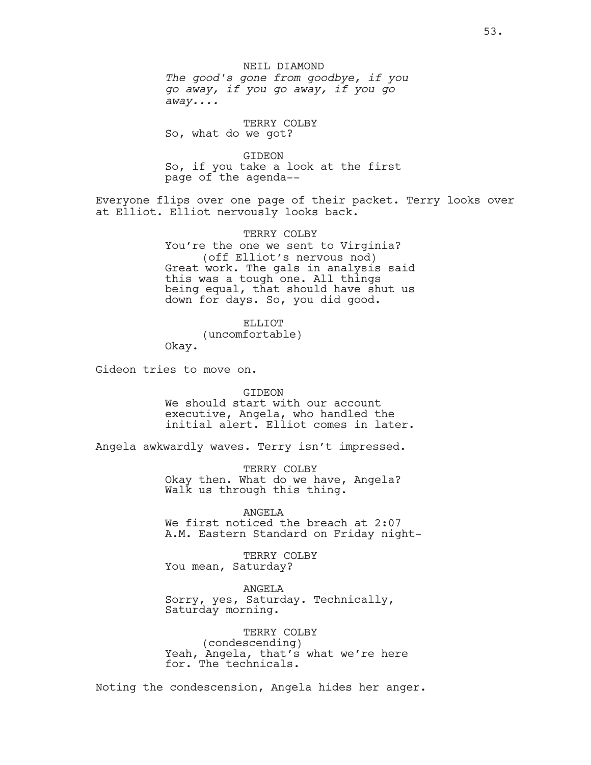# NEIL DIAMOND

*The good's gone from goodbye, if you go away, if you go away, if you go away....*

TERRY COLBY So, what do we got?

GIDEON So, if you take a look at the first page of the agenda--

Everyone flips over one page of their packet. Terry looks over at Elliot. Elliot nervously looks back.

> TERRY COLBY You're the one we sent to Virginia? (off Elliot's nervous nod) Great work. The gals in analysis said this was a tough one. All things being equal, that should have shut us down for days. So, you did good.

ELLIOT (uncomfortable) Okay.

Gideon tries to move on.

GIDEON

We should start with our account executive, Angela, who handled the initial alert. Elliot comes in later.

Angela awkwardly waves. Terry isn't impressed.

TERRY COLBY Okay then. What do we have, Angela? Walk us through this thing.

ANGELA We first noticed the breach at 2:07 A.M. Eastern Standard on Friday night-

TERRY COLBY You mean, Saturday?

ANGELA Sorry, yes, Saturday. Technically, Saturday morning.

TERRY COLBY (condescending) Yeah, Angela, that's what we're here for. The technicals.

Noting the condescension, Angela hides her anger.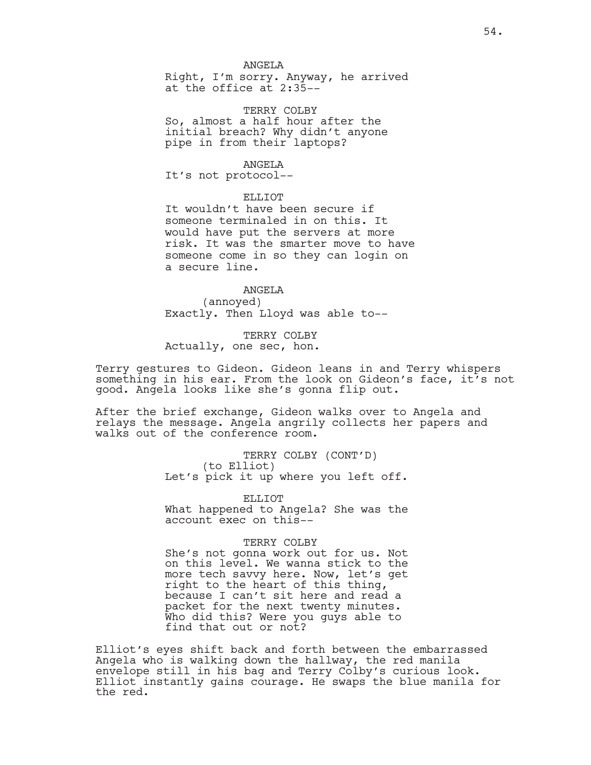#### ANGELA

Right, I'm sorry. Anyway, he arrived at the office at 2:35--

TERRY COLBY So, almost a half hour after the initial breach? Why didn't anyone pipe in from their laptops?

#### ANGELA

It's not protocol--

### ELLIOT

It wouldn't have been secure if someone terminaled in on this. It would have put the servers at more risk. It was the smarter move to have someone come in so they can login on a secure line.

# ANGELA

(annoyed) Exactly. Then Lloyd was able to--

TERRY COLBY Actually, one sec, hon.

Terry gestures to Gideon. Gideon leans in and Terry whispers something in his ear. From the look on Gideon's face, it's not good. Angela looks like she's gonna flip out.

After the brief exchange, Gideon walks over to Angela and relays the message. Angela angrily collects her papers and walks out of the conference room.

> TERRY COLBY (CONT'D) (to Elliot) Let's pick it up where you left off.

> ELLIOT What happened to Angela? She was the account exec on this--

#### TERRY COLBY

She's not gonna work out for us. Not on this level. We wanna stick to the more tech savvy here. Now, let's get right to the heart of this thing, because I can't sit here and read a packet for the next twenty minutes. Who did this? Were you guys able to find that out or not?

Elliot's eyes shift back and forth between the embarrassed Angela who is walking down the hallway, the red manila envelope still in his bag and Terry Colby's curious look. Elliot instantly gains courage. He swaps the blue manila for the red.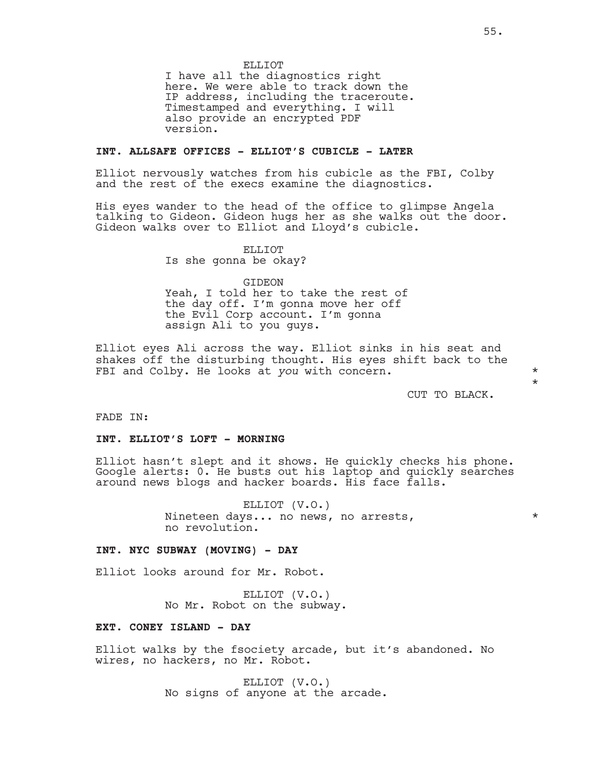ELLIOT

I have all the diagnostics right here. We were able to track down the IP address, including the traceroute. Timestamped and everything. I will also provide an encrypted PDF version.

### **INT. ALLSAFE OFFICES - ELLIOT'S CUBICLE - LATER**

Elliot nervously watches from his cubicle as the FBI, Colby and the rest of the execs examine the diagnostics.

His eyes wander to the head of the office to glimpse Angela talking to Gideon. Gideon hugs her as she walks out the door. Gideon walks over to Elliot and Lloyd's cubicle.

### ELLIOT

Is she gonna be okay?

GIDEON

Yeah, I told her to take the rest of the day off. I'm gonna move her off the Evil Corp account. I'm gonna assign Ali to you guys.

Elliot eyes Ali across the way. Elliot sinks in his seat and shakes off the disturbing thought. His eyes shift back to the FBI and Colby. He looks at *you* with concern. \* \* \* \* \*

CUT TO BLACK.

\*

FADE IN:

#### **INT. ELLIOT'S LOFT - MORNING**

Elliot hasn't slept and it shows. He quickly checks his phone. Google alerts: 0. He busts out his laptop and quickly searches around news blogs and hacker boards. His face falls.

> ELLIOT (V.O.) Nineteen days... no news, no arrests,  $\star$ no revolution.

### **INT. NYC SUBWAY (MOVING) - DAY**

Elliot looks around for Mr. Robot.

ELLIOT (V.O.) No Mr. Robot on the subway.

#### **EXT. CONEY ISLAND - DAY**

Elliot walks by the fsociety arcade, but it's abandoned. No wires, no hackers, no Mr. Robot.

> ELLIOT (V.O.) No signs of anyone at the arcade.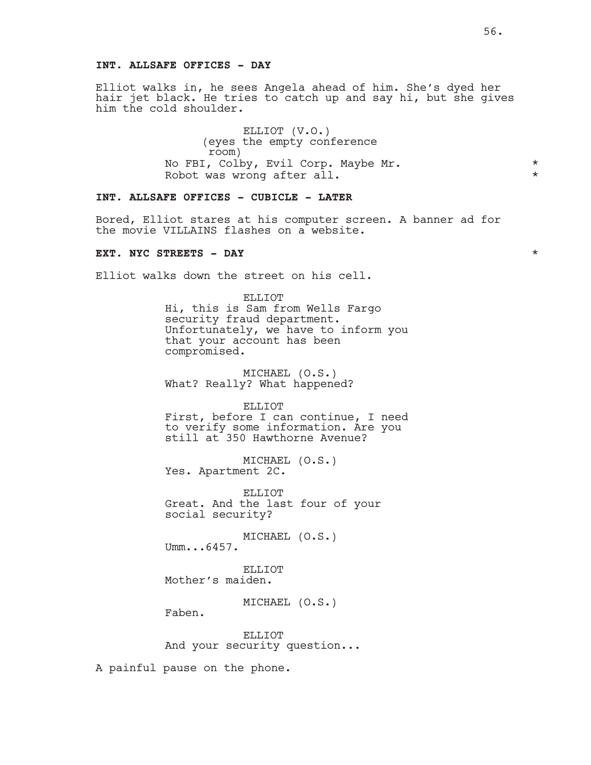### **INT. ALLSAFE OFFICES - DAY**

Elliot walks in, he sees Angela ahead of him. She's dyed her hair jet black. He tries to catch up and say hi, but she gives him the cold shoulder.

> ELLIOT (V.O.) (eyes the empty conference room) No FBI, Colby, Evil Corp. Maybe Mr.<br>Robot was wrong after all \* \* \* \* \* \* \* Robot was wrong after all.

# **INT. ALLSAFE OFFICES - CUBICLE - LATER**

Bored, Elliot stares at his computer screen. A banner ad for the movie VILLAINS flashes on a website.

# **EXT. NYC STREETS - DAY** \*

Elliot walks down the street on his cell.

#### ELLIOT

Hi, this is Sam from Wells Fargo security fraud department. Unfortunately, we have to inform you that your account has been compromised.

MICHAEL (O.S.) What? Really? What happened?

ELLIOT

First, before I can continue, I need to verify some information. Are you still at 350 Hawthorne Avenue?

MICHAEL (O.S.) Yes. Apartment 2C.

ELLIOT Great. And the last four of your social security?

MICHAEL (O.S.) Umm...6457.

ELLIOT Mother's maiden.

MICHAEL (O.S.)

Faben.

ELLIOT And your security question...

A painful pause on the phone.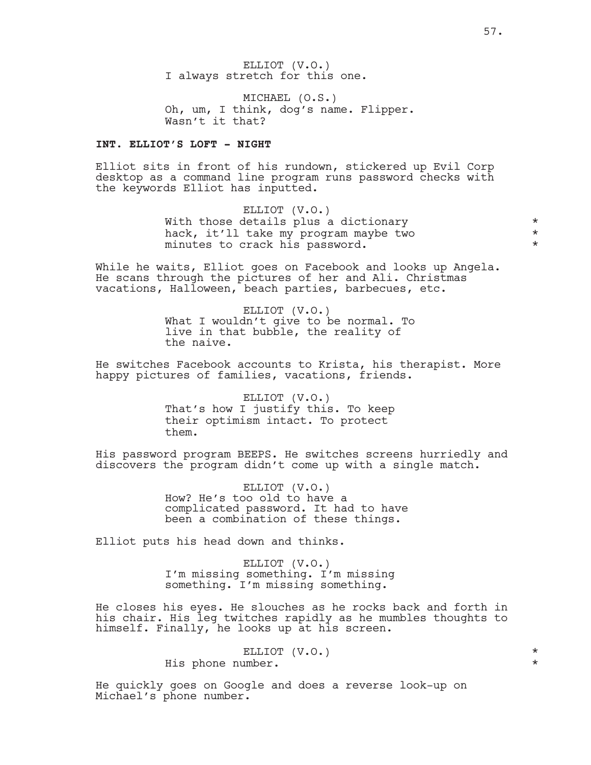ELLIOT (V.O.) I always stretch for this one.

MICHAEL (O.S.) Oh, um, I think, dog's name. Flipper. Wasn't it that?

# **INT. ELLIOT'S LOFT - NIGHT**

Elliot sits in front of his rundown, stickered up Evil Corp desktop as a command line program runs password checks with the keywords Elliot has inputted.

> ELLIOT (V.O.) With those details plus a dictionary  $\star$ <br>hack, it'll take my program maybe two  $\star$ hack, it'll take my program maybe two \* minutes to crack his password.  $*$

While he waits, Elliot goes on Facebook and looks up Angela. He scans through the pictures of her and Ali. Christmas vacations, Halloween, beach parties, barbecues, etc.

> ELLIOT (V.O.) What I wouldn't give to be normal. To live in that bubble, the reality of the naive.

He switches Facebook accounts to Krista, his therapist. More happy pictures of families, vacations, friends.

> ELLIOT (V.O.) That's how I justify this. To keep their optimism intact. To protect them.

His password program BEEPS. He switches screens hurriedly and discovers the program didn't come up with a single match.

> ELLIOT (V.O.) How? He's too old to have a complicated password. It had to have been a combination of these things.

Elliot puts his head down and thinks.

ELLIOT (V.O.) I'm missing something. I'm missing something. I'm missing something.

He closes his eyes. He slouches as he rocks back and forth in his chair. His leg twitches rapidly as he mumbles thoughts to himself. Finally, he looks up at his screen.

> ELLIOT (V.O.) \* His phone number. \*

He quickly goes on Google and does a reverse look-up on Michael's phone number.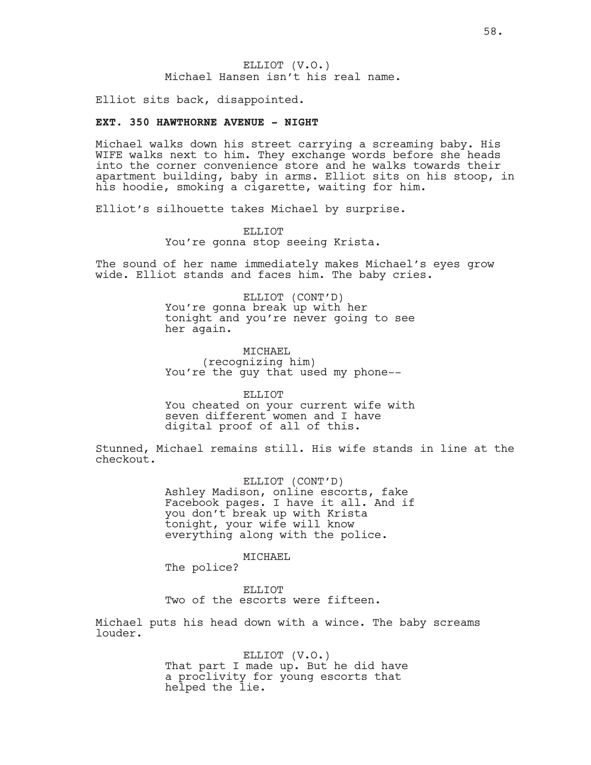### ELLIOT (V.O.) Michael Hansen isn't his real name.

Elliot sits back, disappointed.

### **EXT. 350 HAWTHORNE AVENUE - NIGHT**

Michael walks down his street carrying a screaming baby. His WIFE walks next to him. They exchange words before she heads into the corner convenience store and he walks towards their apartment building, baby in arms. Elliot sits on his stoop, in his hoodie, smoking a cigarette, waiting for him.

Elliot's silhouette takes Michael by surprise.

#### ELLIOT

You're gonna stop seeing Krista.

The sound of her name immediately makes Michael's eyes grow wide. Elliot stands and faces him. The baby cries.

> ELLIOT (CONT'D) You're gonna break up with her tonight and you're never going to see her again.

MICHAEL (recognizing him) You're the guy that used my phone--

ELLIOT You cheated on your current wife with seven different women and I have digital proof of all of this.

Stunned, Michael remains still. His wife stands in line at the checkout.

> ELLIOT (CONT'D) Ashley Madison, online escorts, fake Facebook pages. I have it all. And if you don't break up with Krista tonight, your wife will know everything along with the police.

> > MICHAEL

The police?

ELLIOT Two of the escorts were fifteen.

Michael puts his head down with a wince. The baby screams louder.

> ELLIOT (V.O.) That part I made up. But he did have a proclivity for young escorts that helped the lie.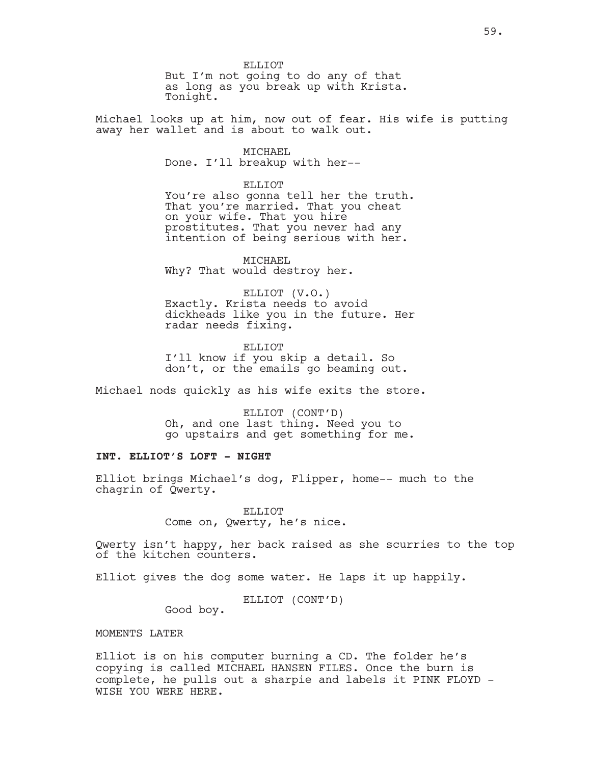ELLIOT But I'm not going to do any of that as long as you break up with Krista. Tonight.

Michael looks up at him, now out of fear. His wife is putting away her wallet and is about to walk out.

> MICHAEL Done. I'll breakup with her--

> > ELLIOT

You're also gonna tell her the truth. That you're married. That you cheat on your wife. That you hire prostitutes. That you never had any intention of being serious with her.

MICHAEL Why? That would destroy her.

ELLIOT (V.O.) Exactly. Krista needs to avoid dickheads like you in the future. Her radar needs fixing.

ELLIOT I'll know if you skip a detail. So don't, or the emails go beaming out.

Michael nods quickly as his wife exits the store.

ELLIOT (CONT'D) Oh, and one last thing. Need you to go upstairs and get something for me.

# **INT. ELLIOT'S LOFT - NIGHT**

Elliot brings Michael's dog, Flipper, home-- much to the chagrin of Qwerty.

> ELLIOT Come on, Qwerty, he's nice.

Qwerty isn't happy, her back raised as she scurries to the top of the kitchen counters.

Elliot gives the dog some water. He laps it up happily.

ELLIOT (CONT'D)

Good boy.

MOMENTS LATER

Elliot is on his computer burning a CD. The folder he's copying is called MICHAEL HANSEN FILES. Once the burn is complete, he pulls out a sharpie and labels it PINK FLOYD - WISH YOU WERE HERE.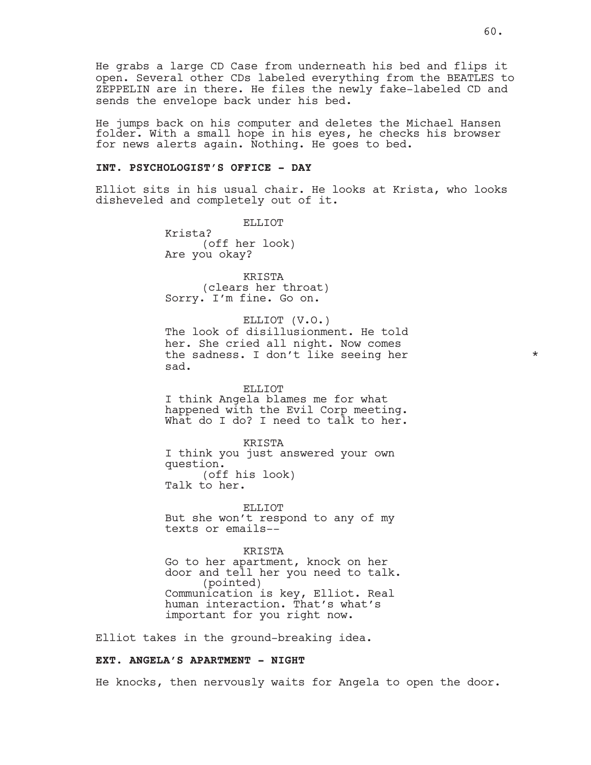He grabs a large CD Case from underneath his bed and flips it open. Several other CDs labeled everything from the BEATLES to ZEPPELIN are in there. He files the newly fake-labeled CD and sends the envelope back under his bed.

He jumps back on his computer and deletes the Michael Hansen folder. With a small hope in his eyes, he checks his browser for news alerts again. Nothing. He goes to bed.

### **INT. PSYCHOLOGIST'S OFFICE - DAY**

Elliot sits in his usual chair. He looks at Krista, who looks disheveled and completely out of it.

ELLIOT

Krista? (off her look) Are you okay?

KRISTA (clears her throat) Sorry. I'm fine. Go on.

### ELLIOT (V.O.)

The look of disillusionment. He told her. She cried all night. Now comes the sadness. I don't like seeing her \* \* \* sad.

#### ELLIOT

I think Angela blames me for what happened with the Evil Corp meeting. What do I do? I need to talk to her.

KRISTA

I think you just answered your own question. (off his look) Talk to her.

ELLIOT But she won't respond to any of my texts or emails--

#### KRISTA

Go to her apartment, knock on her door and tell her you need to talk. (pointed) Communication is key, Elliot. Real human interaction. That's what's important for you right now.

Elliot takes in the ground-breaking idea.

### **EXT. ANGELA'S APARTMENT - NIGHT**

He knocks, then nervously waits for Angela to open the door.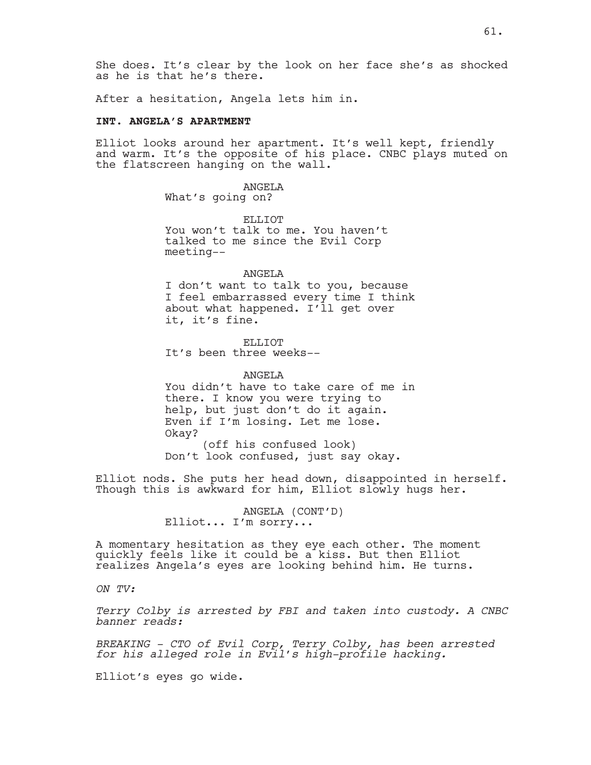She does. It's clear by the look on her face she's as shocked as he is that he's there.

After a hesitation, Angela lets him in.

### **INT. ANGELA'S APARTMENT**

Elliot looks around her apartment. It's well kept, friendly and warm. It's the opposite of his place. CNBC plays muted on the flatscreen hanging on the wall.

> ANGELA What's going on?

ELLIOT You won't talk to me. You haven't talked to me since the Evil Corp meeting--

#### ANGELA

I don't want to talk to you, because I feel embarrassed every time I think about what happened. I'll get over it, it's fine.

ELLIOT It's been three weeks--

ANGELA You didn't have to take care of me in there. I know you were trying to help, but just don't do it again. Even if I'm losing. Let me lose. Okay? (off his confused look) Don't look confused, just say okay.

Elliot nods. She puts her head down, disappointed in herself. Though this is awkward for him, Elliot slowly hugs her.

> ANGELA (CONT'D) Elliot... I'm sorry...

A momentary hesitation as they eye each other. The moment quickly feels like it could be a kiss. But then Elliot realizes Angela's eyes are looking behind him. He turns.

*ON TV:*

*Terry Colby is arrested by FBI and taken into custody. A CNBC banner reads:* 

*BREAKING - CTO of Evil Corp, Terry Colby, has been arrested for his alleged role in Evil's high-profile hacking.*

Elliot's eyes go wide.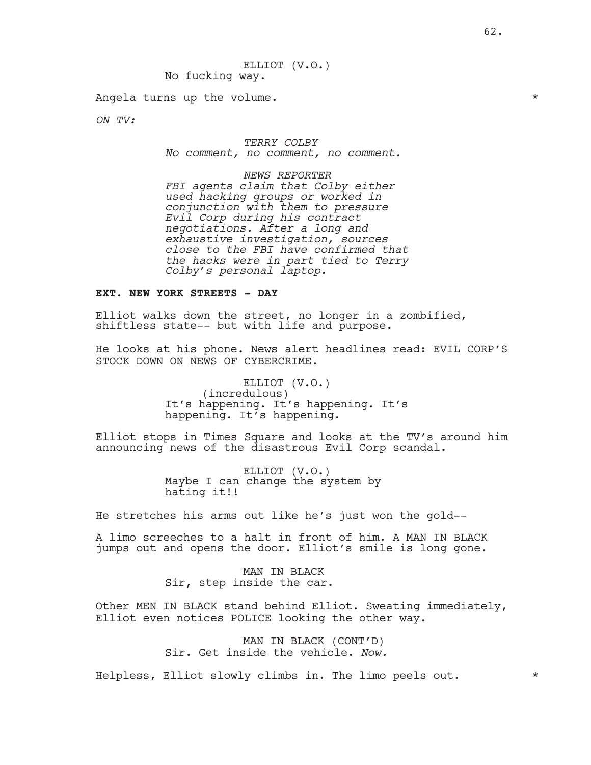Angela turns up the volume.

*ON TV:*

*TERRY COLBY No comment, no comment, no comment.*

*NEWS REPORTER FBI agents claim that Colby either used hacking groups or worked in conjunction with them to pressure Evil Corp during his contract negotiations. After a long and exhaustive investigation, sources close to the FBI have confirmed that the hacks were in part tied to Terry Colby's personal laptop.*

### **EXT. NEW YORK STREETS - DAY**

Elliot walks down the street, no longer in a zombified, shiftless state-- but with life and purpose.

He looks at his phone. News alert headlines read: EVIL CORP'S STOCK DOWN ON NEWS OF CYBERCRIME.

> ELLIOT (V.O.) (incredulous) It's happening. It's happening. It's happening. It's happening.

Elliot stops in Times Square and looks at the TV's around him announcing news of the disastrous Evil Corp scandal.

> ELLIOT (V.O.) Maybe I can change the system by hating it!!

He stretches his arms out like he's just won the gold--

A limo screeches to a halt in front of him. A MAN IN BLACK jumps out and opens the door. Elliot's smile is long gone.

> MAN IN BLACK Sir, step inside the car.

Other MEN IN BLACK stand behind Elliot. Sweating immediately, Elliot even notices POLICE looking the other way.

> MAN IN BLACK (CONT'D) Sir. Get inside the vehicle. *Now.*

Helpless, Elliot slowly climbs in. The limo peels out. \*